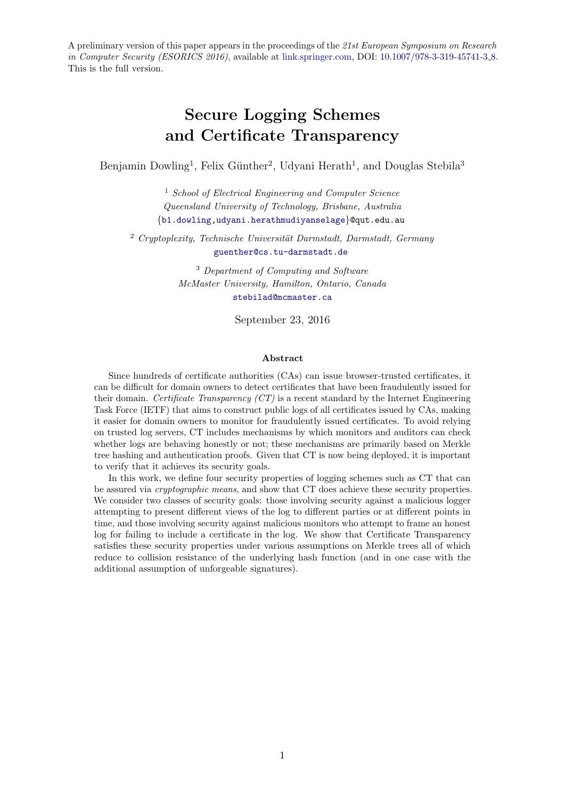A preliminary version of this paper appears in the proceedings of the 21st European Symposium on Research in Computer Security (ESORICS 2016), available at [link.springer.com,](http://link.springer.com) DOI: [10.1007/978-3-319-45741-3](http://dx.doi.org/10.1007/978-3-319-45741-3_8).8. This is the full version.

# Secure Logging Schemes and Certificate Transparency

Benjamin Dowling<sup>1</sup>, Felix Günther<sup>2</sup>, Udyani Herath<sup>1</sup>, and Douglas Stebila<sup>3</sup>

<sup>1</sup> School of Electrical Engineering and Computer Science Queensland University of Technology, Brisbane, Australia {[b1.dowling,](mailto:b1.dowling@qut.edu.au)[udyani.herathmudiyanselage](mailto:udyani.herathmudiyanselage@qut.edu.au@qut.edu.au)}@qut.edu.au

 $2$  Cryptoplexity, Technische Universität Darmstadt, Darmstadt, Germany [guenther@cs.tu-darmstadt.de](mailto:guenther@cs.tu-darmstadt.de)

> <sup>3</sup> Department of Computing and Software McMaster University, Hamilton, Ontario, Canada [stebilad@mcmaster.ca](mailto:stebilad@mcmaster.ca)

> > September 23, 2016

#### Abstract

Since hundreds of certificate authorities (CAs) can issue browser-trusted certificates, it can be difficult for domain owners to detect certificates that have been fraudulently issued for their domain. Certificate Transparency  $(CT)$  is a recent standard by the Internet Engineering Task Force (IETF) that aims to construct public logs of all certificates issued by CAs, making it easier for domain owners to monitor for fraudulently issued certificates. To avoid relying on trusted log servers, CT includes mechanisms by which monitors and auditors can check whether logs are behaving honestly or not; these mechanisms are primarily based on Merkle tree hashing and authentication proofs. Given that CT is now being deployed, it is important to verify that it achieves its security goals.

In this work, we define four security properties of logging schemes such as CT that can be assured via cryptographic means, and show that CT does achieve these security properties. We consider two classes of security goals: those involving security against a malicious logger attempting to present different views of the log to different parties or at different points in time, and those involving security against malicious monitors who attempt to frame an honest log for failing to include a certificate in the log. We show that Certificate Transparency satisfies these security properties under various assumptions on Merkle trees all of which reduce to collision resistance of the underlying hash function (and in one case with the additional assumption of unforgeable signatures).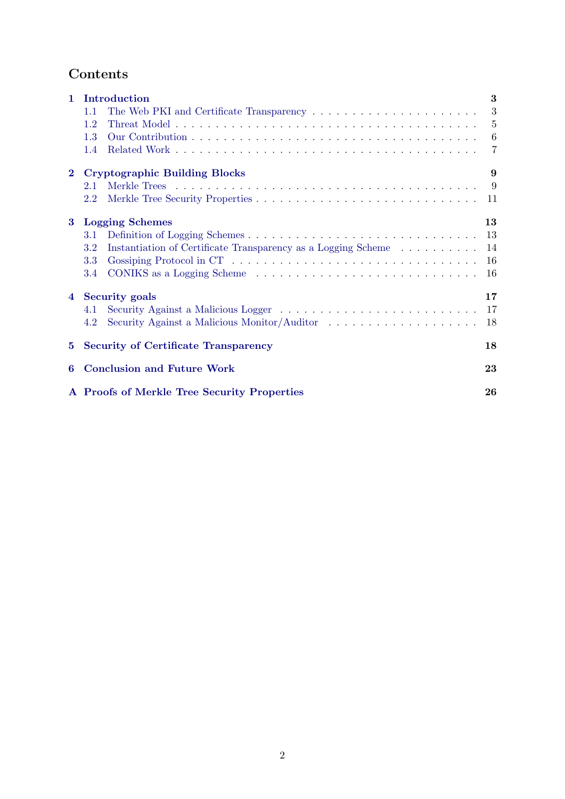# Contents

| 1              | 3<br>Introduction                                                    |               |  |  |  |  |
|----------------|----------------------------------------------------------------------|---------------|--|--|--|--|
|                | 1.1                                                                  | 3             |  |  |  |  |
|                | 1.2                                                                  | $\frac{5}{2}$ |  |  |  |  |
|                | 1.3                                                                  | 6             |  |  |  |  |
|                | 1.4                                                                  | 7             |  |  |  |  |
| $\bf{2}$       | <b>Cryptographic Building Blocks</b><br>9                            |               |  |  |  |  |
|                | 2.1                                                                  | -9            |  |  |  |  |
|                | 2.2                                                                  | 11            |  |  |  |  |
| $\bf{3}$       | <b>Logging Schemes</b>                                               |               |  |  |  |  |
|                | 3.1                                                                  | 13            |  |  |  |  |
|                | Instantiation of Certificate Transparency as a Logging Scheme<br>3.2 | 14            |  |  |  |  |
|                | 3.3                                                                  | -16           |  |  |  |  |
|                | 3.4                                                                  | 16            |  |  |  |  |
| $\overline{4}$ | <b>Security goals</b>                                                | 17            |  |  |  |  |
|                | 4.1                                                                  | 17            |  |  |  |  |
|                | 4.2                                                                  | 18            |  |  |  |  |
| 5              | <b>Security of Certificate Transparency</b>                          |               |  |  |  |  |
| 6              | <b>Conclusion and Future Work</b>                                    |               |  |  |  |  |
|                | A Proofs of Merkle Tree Security Properties                          |               |  |  |  |  |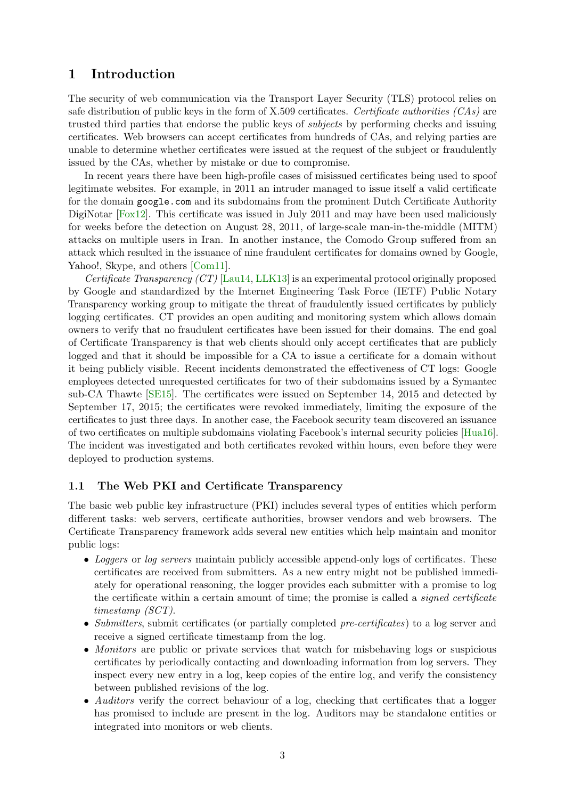# <span id="page-2-0"></span>1 Introduction

The security of web communication via the Transport Layer Security (TLS) protocol relies on safe distribution of public keys in the form of X.509 certificates. Certificate authorities  $(CAs)$  are trusted third parties that endorse the public keys of subjects by performing checks and issuing certificates. Web browsers can accept certificates from hundreds of CAs, and relying parties are unable to determine whether certificates were issued at the request of the subject or fraudulently issued by the CAs, whether by mistake or due to compromise.

In recent years there have been high-profile cases of misissued certificates being used to spoof legitimate websites. For example, in 2011 an intruder managed to issue itself a valid certificate for the domain google.com and its subdomains from the prominent Dutch Certificate Authority DigiNotar [\[Fox12\]](#page-23-0). This certificate was issued in July 2011 and may have been used maliciously for weeks before the detection on August 28, 2011, of large-scale man-in-the-middle (MITM) attacks on multiple users in Iran. In another instance, the Comodo Group suffered from an attack which resulted in the issuance of nine fraudulent certificates for domains owned by Google, Yahoo!, Skype, and others [\[Com11\]](#page-23-1).

Certificate Transparency (CT) [\[Lau14,](#page-23-2) [LLK13\]](#page-24-0) is an experimental protocol originally proposed by Google and standardized by the Internet Engineering Task Force (IETF) Public Notary Transparency working group to mitigate the threat of fraudulently issued certificates by publicly logging certificates. CT provides an open auditing and monitoring system which allows domain owners to verify that no fraudulent certificates have been issued for their domains. The end goal of Certificate Transparency is that web clients should only accept certificates that are publicly logged and that it should be impossible for a CA to issue a certificate for a domain without it being publicly visible. Recent incidents demonstrated the effectiveness of CT logs: Google employees detected unrequested certificates for two of their subdomains issued by a Symantec sub-CA Thawte [\[SE15\]](#page-24-1). The certificates were issued on September 14, 2015 and detected by September 17, 2015; the certificates were revoked immediately, limiting the exposure of the certificates to just three days. In another case, the Facebook security team discovered an issuance of two certificates on multiple subdomains violating Facebook's internal security policies [\[Hua16\]](#page-23-3). The incident was investigated and both certificates revoked within hours, even before they were deployed to production systems.

#### <span id="page-2-1"></span>1.1 The Web PKI and Certificate Transparency

The basic web public key infrastructure (PKI) includes several types of entities which perform different tasks: web servers, certificate authorities, browser vendors and web browsers. The Certificate Transparency framework adds several new entities which help maintain and monitor public logs:

- Loggers or log servers maintain publicly accessible append-only logs of certificates. These certificates are received from submitters. As a new entry might not be published immediately for operational reasoning, the logger provides each submitter with a promise to log the certificate within a certain amount of time; the promise is called a signed certificate timestamp (SCT).
- Submitters, submit certificates (or partially completed pre-certificates) to a log server and receive a signed certificate timestamp from the log.
- Monitors are public or private services that watch for misbehaving logs or suspicious certificates by periodically contacting and downloading information from log servers. They inspect every new entry in a log, keep copies of the entire log, and verify the consistency between published revisions of the log.
- Auditors verify the correct behaviour of a log, checking that certificates that a logger has promised to include are present in the log. Auditors may be standalone entities or integrated into monitors or web clients.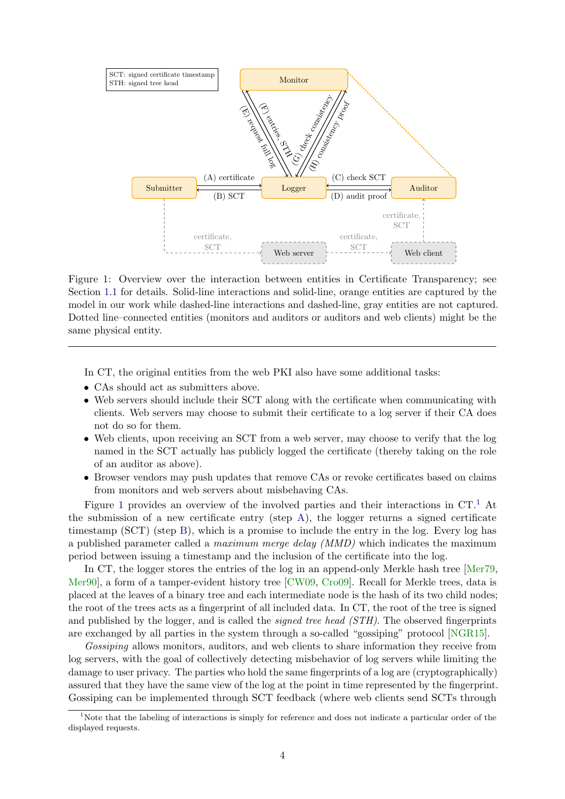<span id="page-3-9"></span><span id="page-3-8"></span><span id="page-3-7"></span><span id="page-3-6"></span><span id="page-3-5"></span><span id="page-3-4"></span><span id="page-3-2"></span><span id="page-3-0"></span>

<span id="page-3-3"></span>Figure 1: Overview over the interaction between entities in Certificate Transparency; see Section [1.1](#page-2-1) for details. Solid-line interactions and solid-line, orange entities are captured by the model in our work while dashed-line interactions and dashed-line, gray entities are not captured. Dotted line–connected entities (monitors and auditors or auditors and web clients) might be the same physical entity.

In CT, the original entities from the web PKI also have some additional tasks:

- CAs should act as submitters above.
- Web servers should include their SCT along with the certificate when communicating with clients. Web servers may choose to submit their certificate to a log server if their CA does not do so for them.
- Web clients, upon receiving an SCT from a web server, may choose to verify that the log named in the SCT actually has publicly logged the certificate (thereby taking on the role of an auditor as above).
- Browser vendors may push updates that remove CAs or revoke certificates based on claims from monitors and web servers about misbehaving CAs.

Figure [1](#page-3-1) provides an overview of the involved parties and their interactions in  $CT<sup>1</sup>$  At the submission of a new certificate entry (step [A\)](#page-3-2), the logger returns a signed certificate timestamp (SCT) (step [B\)](#page-3-3), which is a promise to include the entry in the log. Every log has a published parameter called a maximum merge delay (MMD) which indicates the maximum period between issuing a timestamp and the inclusion of the certificate into the log.

In CT, the logger stores the entries of the log in an append-only Merkle hash tree [\[Mer79,](#page-24-2) [Mer90\]](#page-24-3), a form of a tamper-evident history tree [\[CW09,](#page-23-4) [Cro09\]](#page-23-5). Recall for Merkle trees, data is placed at the leaves of a binary tree and each intermediate node is the hash of its two child nodes; the root of the trees acts as a fingerprint of all included data. In CT, the root of the tree is signed and published by the logger, and is called the *signed tree head (STH)*. The observed fingerprints are exchanged by all parties in the system through a so-called "gossiping" protocol [\[NGR15\]](#page-24-4).

Gossiping allows monitors, auditors, and web clients to share information they receive from log servers, with the goal of collectively detecting misbehavior of log servers while limiting the damage to user privacy. The parties who hold the same fingerprints of a log are (cryptographically) assured that they have the same view of the log at the point in time represented by the fingerprint. Gossiping can be implemented through SCT feedback (where web clients send SCTs through

<span id="page-3-1"></span><sup>&</sup>lt;sup>1</sup>Note that the labeling of interactions is simply for reference and does not indicate a particular order of the displayed requests.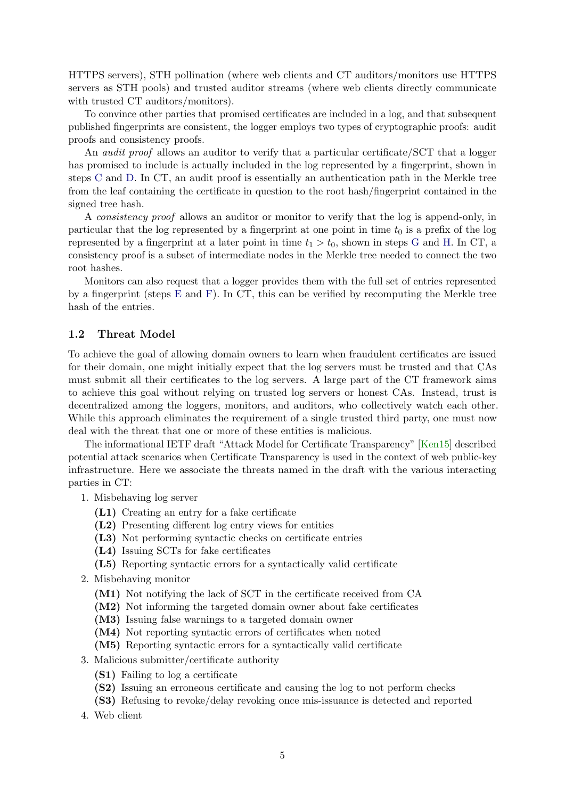HTTPS servers), STH pollination (where web clients and CT auditors/monitors use HTTPS servers as STH pools) and trusted auditor streams (where web clients directly communicate with trusted CT auditors/monitors).

To convince other parties that promised certificates are included in a log, and that subsequent published fingerprints are consistent, the logger employs two types of cryptographic proofs: audit proofs and consistency proofs.

An *audit proof* allows an auditor to verify that a particular certificate/SCT that a logger has promised to include is actually included in the log represented by a fingerprint, shown in steps [C](#page-3-4) and [D.](#page-3-5) In CT, an audit proof is essentially an authentication path in the Merkle tree from the leaf containing the certificate in question to the root hash/fingerprint contained in the signed tree hash.

A consistency proof allows an auditor or monitor to verify that the log is append-only, in particular that the log represented by a fingerprint at one point in time  $t_0$  is a prefix of the log represented by a fingerprint at a later point in time  $t_1 > t_0$ , shown in steps [G](#page-3-6) and [H.](#page-3-7) In CT, a consistency proof is a subset of intermediate nodes in the Merkle tree needed to connect the two root hashes.

Monitors can also request that a logger provides them with the full set of entries represented by a fingerprint (steps [E](#page-3-8) and [F\)](#page-3-9). In CT, this can be verified by recomputing the Merkle tree hash of the entries.

#### <span id="page-4-0"></span>1.2 Threat Model

To achieve the goal of allowing domain owners to learn when fraudulent certificates are issued for their domain, one might initially expect that the log servers must be trusted and that CAs must submit all their certificates to the log servers. A large part of the CT framework aims to achieve this goal without relying on trusted log servers or honest CAs. Instead, trust is decentralized among the loggers, monitors, and auditors, who collectively watch each other. While this approach eliminates the requirement of a single trusted third party, one must now deal with the threat that one or more of these entities is malicious.

The informational IETF draft "Attack Model for Certificate Transparency" [\[Ken15\]](#page-23-6) described potential attack scenarios when Certificate Transparency is used in the context of web public-key infrastructure. Here we associate the threats named in the draft with the various interacting parties in CT:

- 1. Misbehaving log server
	- (L1) Creating an entry for a fake certificate
	- (L2) Presenting different log entry views for entities
	- (L3) Not performing syntactic checks on certificate entries
	- (L4) Issuing SCTs for fake certificates
	- (L5) Reporting syntactic errors for a syntactically valid certificate
- 2. Misbehaving monitor
	- (M1) Not notifying the lack of SCT in the certificate received from CA
	- (M2) Not informing the targeted domain owner about fake certificates
	- (M3) Issuing false warnings to a targeted domain owner
	- (M4) Not reporting syntactic errors of certificates when noted
	- (M5) Reporting syntactic errors for a syntactically valid certificate
- 3. Malicious submitter/certificate authority
	- (S1) Failing to log a certificate
	- (S2) Issuing an erroneous certificate and causing the log to not perform checks
	- (S3) Refusing to revoke/delay revoking once mis-issuance is detected and reported
- 4. Web client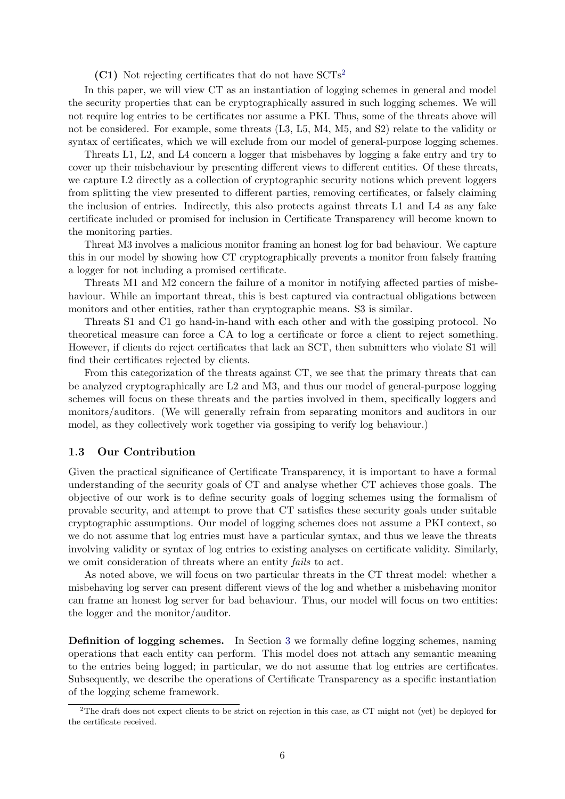(C1) Not rejecting certificates that do not have SCTs[2](#page-5-1)

In this paper, we will view CT as an instantiation of logging schemes in general and model the security properties that can be cryptographically assured in such logging schemes. We will not require log entries to be certificates nor assume a PKI. Thus, some of the threats above will not be considered. For example, some threats (L3, L5, M4, M5, and S2) relate to the validity or syntax of certificates, which we will exclude from our model of general-purpose logging schemes.

Threats L1, L2, and L4 concern a logger that misbehaves by logging a fake entry and try to cover up their misbehaviour by presenting different views to different entities. Of these threats, we capture L2 directly as a collection of cryptographic security notions which prevent loggers from splitting the view presented to different parties, removing certificates, or falsely claiming the inclusion of entries. Indirectly, this also protects against threats L1 and L4 as any fake certificate included or promised for inclusion in Certificate Transparency will become known to the monitoring parties.

Threat M3 involves a malicious monitor framing an honest log for bad behaviour. We capture this in our model by showing how CT cryptographically prevents a monitor from falsely framing a logger for not including a promised certificate.

Threats M1 and M2 concern the failure of a monitor in notifying affected parties of misbehaviour. While an important threat, this is best captured via contractual obligations between monitors and other entities, rather than cryptographic means. S3 is similar.

Threats S1 and C1 go hand-in-hand with each other and with the gossiping protocol. No theoretical measure can force a CA to log a certificate or force a client to reject something. However, if clients do reject certificates that lack an SCT, then submitters who violate S1 will find their certificates rejected by clients.

From this categorization of the threats against CT, we see that the primary threats that can be analyzed cryptographically are L2 and M3, and thus our model of general-purpose logging schemes will focus on these threats and the parties involved in them, specifically loggers and monitors/auditors. (We will generally refrain from separating monitors and auditors in our model, as they collectively work together via gossiping to verify log behaviour.)

#### <span id="page-5-0"></span>1.3 Our Contribution

Given the practical significance of Certificate Transparency, it is important to have a formal understanding of the security goals of CT and analyse whether CT achieves those goals. The objective of our work is to define security goals of logging schemes using the formalism of provable security, and attempt to prove that CT satisfies these security goals under suitable cryptographic assumptions. Our model of logging schemes does not assume a PKI context, so we do not assume that log entries must have a particular syntax, and thus we leave the threats involving validity or syntax of log entries to existing analyses on certificate validity. Similarly, we omit consideration of threats where an entity *fails* to act.

As noted above, we will focus on two particular threats in the CT threat model: whether a misbehaving log server can present different views of the log and whether a misbehaving monitor can frame an honest log server for bad behaviour. Thus, our model will focus on two entities: the logger and the monitor/auditor.

Definition of logging schemes. In Section [3](#page-12-0) we formally define logging schemes, naming operations that each entity can perform. This model does not attach any semantic meaning to the entries being logged; in particular, we do not assume that log entries are certificates. Subsequently, we describe the operations of Certificate Transparency as a specific instantiation of the logging scheme framework.

<span id="page-5-1"></span><sup>&</sup>lt;sup>2</sup>The draft does not expect clients to be strict on rejection in this case, as CT might not (yet) be deployed for the certificate received.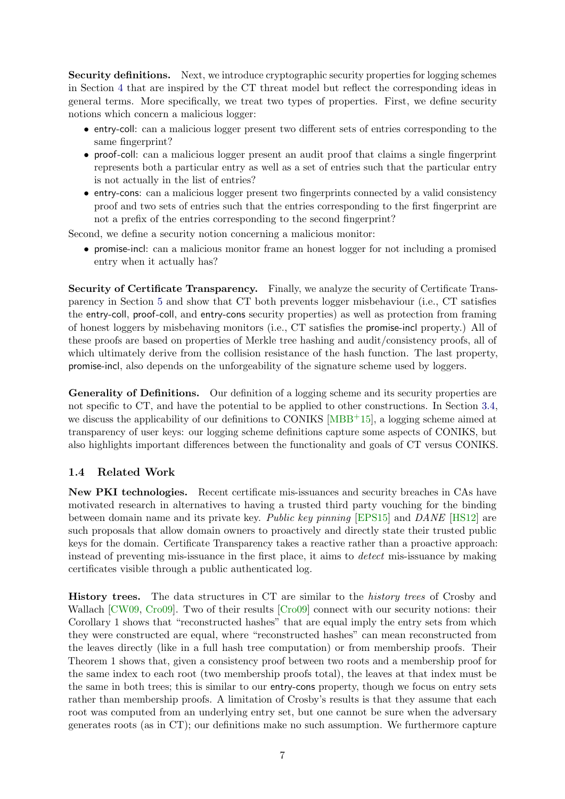Security definitions. Next, we introduce cryptographic security properties for logging schemes in Section [4](#page-16-0) that are inspired by the CT threat model but reflect the corresponding ideas in general terms. More specifically, we treat two types of properties. First, we define security notions which concern a malicious logger:

- entry-coll: can a malicious logger present two different sets of entries corresponding to the same fingerprint?
- proof-coll: can a malicious logger present an audit proof that claims a single fingerprint represents both a particular entry as well as a set of entries such that the particular entry is not actually in the list of entries?
- entry-cons: can a malicious logger present two fingerprints connected by a valid consistency proof and two sets of entries such that the entries corresponding to the first fingerprint are not a prefix of the entries corresponding to the second fingerprint?

Second, we define a security notion concerning a malicious monitor:

• promise-incl: can a malicious monitor frame an honest logger for not including a promised entry when it actually has?

Security of Certificate Transparency. Finally, we analyze the security of Certificate Transparency in Section [5](#page-17-1) and show that CT both prevents logger misbehaviour (i.e., CT satisfies the entry-coll, proof-coll, and entry-cons security properties) as well as protection from framing of honest loggers by misbehaving monitors (i.e., CT satisfies the promise-incl property.) All of these proofs are based on properties of Merkle tree hashing and audit/consistency proofs, all of which ultimately derive from the collision resistance of the hash function. The last property, promise-incl, also depends on the unforgeability of the signature scheme used by loggers.

Generality of Definitions. Our definition of a logging scheme and its security properties are not specific to CT, and have the potential to be applied to other constructions. In Section [3.4,](#page-15-1) we discuss the applicability of our definitions to CONIKS  $[MBB<sup>+</sup>15]$  $[MBB<sup>+</sup>15]$ , a logging scheme aimed at transparency of user keys: our logging scheme definitions capture some aspects of CONIKS, but also highlights important differences between the functionality and goals of CT versus CONIKS.

#### <span id="page-6-0"></span>1.4 Related Work

New PKI technologies. Recent certificate mis-issuances and security breaches in CAs have motivated research in alternatives to having a trusted third party vouching for the binding between domain name and its private key. Public key pinning [\[EPS15\]](#page-23-7) and DANE [\[HS12\]](#page-23-8) are such proposals that allow domain owners to proactively and directly state their trusted public keys for the domain. Certificate Transparency takes a reactive rather than a proactive approach: instead of preventing mis-issuance in the first place, it aims to detect mis-issuance by making certificates visible through a public authenticated log.

History trees. The data structures in CT are similar to the history trees of Crosby and Wallach [\[CW09,](#page-23-4) [Cro09\]](#page-23-5). Two of their results [\[Cro09\]](#page-23-5) connect with our security notions: their Corollary 1 shows that "reconstructed hashes" that are equal imply the entry sets from which they were constructed are equal, where "reconstructed hashes" can mean reconstructed from the leaves directly (like in a full hash tree computation) or from membership proofs. Their Theorem 1 shows that, given a consistency proof between two roots and a membership proof for the same index to each root (two membership proofs total), the leaves at that index must be the same in both trees; this is similar to our entry-cons property, though we focus on entry sets rather than membership proofs. A limitation of Crosby's results is that they assume that each root was computed from an underlying entry set, but one cannot be sure when the adversary generates roots (as in CT); our definitions make no such assumption. We furthermore capture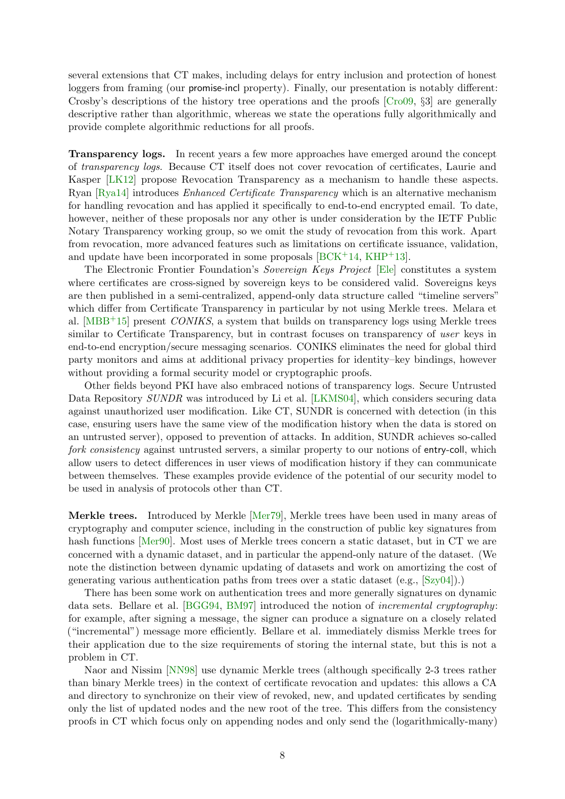several extensions that CT makes, including delays for entry inclusion and protection of honest loggers from framing (our promise-incl property). Finally, our presentation is notably different: Crosby's descriptions of the history tree operations and the proofs [\[Cro09,](#page-23-5) §3] are generally descriptive rather than algorithmic, whereas we state the operations fully algorithmically and provide complete algorithmic reductions for all proofs.

Transparency logs. In recent years a few more approaches have emerged around the concept of transparency logs. Because CT itself does not cover revocation of certificates, Laurie and Kasper [\[LK12\]](#page-24-6) propose Revocation Transparency as a mechanism to handle these aspects. Ryan [\[Rya14\]](#page-24-7) introduces Enhanced Certificate Transparency which is an alternative mechanism for handling revocation and has applied it specifically to end-to-end encrypted email. To date, however, neither of these proposals nor any other is under consideration by the IETF Public Notary Transparency working group, so we omit the study of revocation from this work. Apart from revocation, more advanced features such as limitations on certificate issuance, validation, and update have been incorporated in some proposals  $[BCK^+14, KHP^+13]$  $[BCK^+14, KHP^+13]$  $[BCK^+14, KHP^+13]$  $[BCK^+14, KHP^+13]$ .

The Electronic Frontier Foundation's Sovereign Keys Project [\[Ele\]](#page-23-10) constitutes a system where certificates are cross-signed by sovereign keys to be considered valid. Sovereigns keys are then published in a semi-centralized, append-only data structure called "timeline servers" which differ from Certificate Transparency in particular by not using Merkle trees. Melara et al.  $[MBB+15]$  $[MBB+15]$  present *CONIKS*, a system that builds on transparency logs using Merkle trees similar to Certificate Transparency, but in contrast focuses on transparency of user keys in end-to-end encryption/secure messaging scenarios. CONIKS eliminates the need for global third party monitors and aims at additional privacy properties for identity–key bindings, however without providing a formal security model or cryptographic proofs.

Other fields beyond PKI have also embraced notions of transparency logs. Secure Untrusted Data Repository SUNDR was introduced by Li et al. [\[LKMS04\]](#page-24-8), which considers securing data against unauthorized user modification. Like CT, SUNDR is concerned with detection (in this case, ensuring users have the same view of the modification history when the data is stored on an untrusted server), opposed to prevention of attacks. In addition, SUNDR achieves so-called fork consistency against untrusted servers, a similar property to our notions of entry-coll, which allow users to detect differences in user views of modification history if they can communicate between themselves. These examples provide evidence of the potential of our security model to be used in analysis of protocols other than CT.

Merkle trees. Introduced by Merkle [\[Mer79\]](#page-24-2), Merkle trees have been used in many areas of cryptography and computer science, including in the construction of public key signatures from hash functions [\[Mer90\]](#page-24-3). Most uses of Merkle trees concern a static dataset, but in CT we are concerned with a dynamic dataset, and in particular the append-only nature of the dataset. (We note the distinction between dynamic updating of datasets and work on amortizing the cost of generating various authentication paths from trees over a static dataset (e.g., [\[Szy04\]](#page-24-9)).)

There has been some work on authentication trees and more generally signatures on dynamic data sets. Bellare et al. [\[BGG94,](#page-23-11) [BM97\]](#page-23-12) introduced the notion of incremental cryptography: for example, after signing a message, the signer can produce a signature on a closely related ("incremental") message more efficiently. Bellare et al. immediately dismiss Merkle trees for their application due to the size requirements of storing the internal state, but this is not a problem in CT.

Naor and Nissim [\[NN98\]](#page-24-10) use dynamic Merkle trees (although specifically 2-3 trees rather than binary Merkle trees) in the context of certificate revocation and updates: this allows a CA and directory to synchronize on their view of revoked, new, and updated certificates by sending only the list of updated nodes and the new root of the tree. This differs from the consistency proofs in CT which focus only on appending nodes and only send the (logarithmically-many)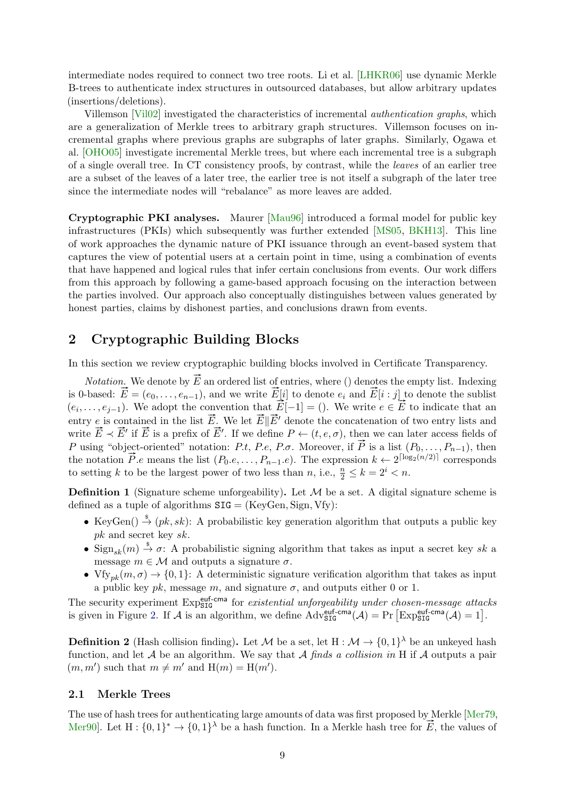intermediate nodes required to connect two tree roots. Li et al. [\[LHKR06\]](#page-24-11) use dynamic Merkle B-trees to authenticate index structures in outsourced databases, but allow arbitrary updates (insertions/deletions).

Villemson [\[Vil02\]](#page-24-12) investigated the characteristics of incremental authentication graphs, which are a generalization of Merkle trees to arbitrary graph structures. Villemson focuses on incremental graphs where previous graphs are subgraphs of later graphs. Similarly, Ogawa et al. [\[OHO05\]](#page-24-13) investigate incremental Merkle trees, but where each incremental tree is a subgraph of a single overall tree. In CT consistency proofs, by contrast, while the leaves of an earlier tree are a subset of the leaves of a later tree, the earlier tree is not itself a subgraph of the later tree since the intermediate nodes will "rebalance" as more leaves are added.

Cryptographic PKI analyses. Maurer [\[Mau96\]](#page-24-14) introduced a formal model for public key infrastructures (PKIs) which subsequently was further extended [\[MS05,](#page-24-15) [BKH13\]](#page-23-13). This line of work approaches the dynamic nature of PKI issuance through an event-based system that captures the view of potential users at a certain point in time, using a combination of events that have happened and logical rules that infer certain conclusions from events. Our work differs from this approach by following a game-based approach focusing on the interaction between the parties involved. Our approach also conceptually distinguishes between values generated by honest parties, claims by dishonest parties, and conclusions drawn from events.

# <span id="page-8-0"></span>2 Cryptographic Building Blocks

In this section we review cryptographic building blocks involved in Certificate Transparency.

*Notation.* We denote by  $\vec{E}$  an ordered list of entries, where () denotes the empty list. Indexing *Notation.* We denote by E an ordered list of entries, where () denotes the empty list. Indexing is 0-based:  $\vec{E} = (e_0, \ldots, e_{n-1})$ , and we write  $\vec{E}[i]$  to denote  $e_i$  and  $\vec{E}[i : j]$  to denote the sublist is 0-based:  $E = (e_0, \ldots, e_{n-1})$ , and we write  $E[i]$  to denote  $e_i$  and  $E[i]$ :  $j]$  to denote the sublist  $(e_i, \ldots, e_{j-1})$ . We adopt the convention that  $\vec{E}[-1] = ()$ . We write  $e \in \vec{E}$  to indicate that an  $(e_i, \ldots, e_{j-1})$ . We adopt the convention that  $E[-1] = (1, 1)$ . We write  $e \in E$  to indicate that and entry *e* is contained in the list  $\vec{E}$ . We let  $\vec{E} || \vec{E}'$  denote the concatenation of two entry lists and entry e is contained in the list E. We let  $E||E'$  denote the concatenation of two entry lists and write  $\vec{E} \prec \vec{E'}$  if  $\vec{E}$  is a prefix of  $\vec{E'}$ . If we define  $P \leftarrow (t, e, \sigma)$ , then we can later access fields of P using "object-oriented" notation: P.t, P.e, P. $\sigma$ . Moreover, if  $\vec{P}$  is a list  $(P_0, \ldots, P_{n-1})$ , then F using object-oriented notation: F.t., F.e., F.o. Moreover, if F is a list  $(P_0, \ldots, P_{n-1})$ , then<br>the notation  $\vec{P}$ .e means the list  $(P_0, \ldots, P_{n-1}.e)$ . The expression  $k \leftarrow 2^{\lceil \log_2(n/2) \rceil}$  corresponds to setting k to be the largest power of two less than n, i.e.,  $\frac{n}{2} \le k = 2^i < n$ .

**Definition 1** (Signature scheme unforgeability). Let  $M$  be a set. A digital signature scheme is defined as a tuple of algorithms  $\text{SIG} = (\text{KeyGen}, \text{Sign}, \text{Vfy})$ :

- KeyGen()  $\stackrel{\$}{\rightarrow}$   $(pk, sk)$ : A probabilistic key generation algorithm that outputs a public key pk and secret key sk.
- Sign<sub>sk</sub> $(m) \stackrel{\$}{\rightarrow} \sigma$ : A probabilistic signing algorithm that takes as input a secret key sk a message  $m \in \mathcal{M}$  and outputs a signature  $\sigma$ .
- $Vf_{y_{pk}}(m, \sigma) \rightarrow \{0, 1\}$ : A deterministic signature verification algorithm that takes as input a public key pk, message m, and signature  $\sigma$ , and outputs either 0 or 1.

The security experiment  $Exp_{\text{SIG}}^{\text{euf-cma}}$  for existential unforgeability under chosen-message attacks is given in Figure [2.](#page-9-0) If A is an algorithm, we define  $\text{Adv}_{\text{SIG}}^{\text{euf-cma}}(\mathcal{A}) = \Pr\left[\text{Exp}_{\text{SIG}}^{\text{euf-cma}}(\mathcal{A}) = 1\right]$ .

**Definition 2** (Hash collision finding). Let M be a set, let  $H : \mathcal{M} \to \{0,1\}^{\lambda}$  be an unkeyed hash function, and let  $A$  be an algorithm. We say that  $A$  finds a collision in H if  $A$  outputs a pair  $(m, m')$  such that  $m \neq m'$  and  $H(m) = H(m')$ .

#### <span id="page-8-1"></span>2.1 Merkle Trees

The use of hash trees for authenticating large amounts of data was first proposed by Merkle [\[Mer79,](#page-24-2) The use of hash trees for authenticating large amounts of data was first proposed by Merkle [Mer/9]. Let  $H: \{0,1\}^* \to \{0,1\}^{\lambda}$  be a hash function. In a Merkle hash tree for  $\vec{E}$ , the values of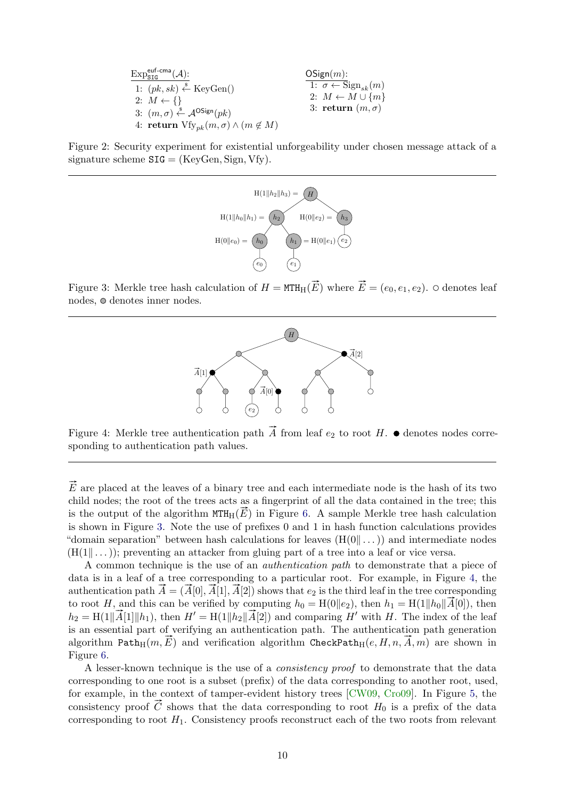<span id="page-9-0"></span>
$$
\begin{array}{l}\n\text{Exp}_{\text{SIG}}^{\text{euf-cma}}(\mathcal{A})\text{:} \\
\text{1: } (pk, sk) \stackrel{\text{s}}{\leftarrow} \text{KeyGen}() \\
\text{2: } M \leftarrow {} \{\}\n\end{array}
$$
\n
$$
\begin{array}{l}\n3: (m, \sigma) \stackrel{\text{s}}{\leftarrow} \mathcal{A}^{\text{OSign}}(pk) \\
4: \text{ return } \text{Vf}_{y_{pk}}(m, \sigma) \land (m \notin M)\n\end{array}
$$

 $OSign(m)$ : 1:  $\sigma \leftarrow \text{Sign}_{sk}(m)$ 2:  $M \leftarrow M \cup \{m\}$ 3: return  $(m, \sigma)$ 

<span id="page-9-1"></span>Figure 2: Security experiment for existential unforgeability under chosen message attack of a signature scheme  $SIG = (KeyGen, Sign, Vfy)$ .



<span id="page-9-2"></span>Figure 3: Merkle tree hash calculation of  $H = \text{MTH}_H(\vec{E})$  where  $\vec{E} = (e_0, e_1, e_2)$ .  $\circ$  denotes leaf nodes,  $\circ$  denotes inner nodes.



Figure 4: Merkle tree authentication path  $\overline{A}$  from leaf  $e_2$  to root H.  $\bullet$  denotes nodes corresponding to authentication path values.

 $\overrightarrow{E}$  are placed at the leaves of a binary tree and each intermediate node is the hash of its two child nodes; the root of the trees acts as a fingerprint of all the data contained in the tree; this child nodes; the root of the trees acts as a fingerprint of all the data contained in the tree; this is the output of the algorithm  $\text{MTH}_{\text{H}}(\vec{E})$  in Figure [6.](#page-11-0) A sample Merkle tree hash calculation is shown in Figure [3.](#page-9-1) Note the use of prefixes 0 and 1 in hash function calculations provides "domain separation" between hash calculations for leaves  $(H(0\mid \dots))$  and intermediate nodes  $(H(1\vert \ldots))$ ; preventing an attacker from gluing part of a tree into a leaf or vice versa.

A common technique is the use of an authentication path to demonstrate that a piece of data is in a leaf of a tree corresponding to a particular root. For example, in Figure [4,](#page-9-2) the data is in a lear of a tree corresponding to a particular root. For example, in Figure 4, the authentication path  $\vec{A} = (\vec{A}[0], \vec{A}[1], \vec{A}[2])$  shows that  $e_2$  is the third leaf in the tree corresponding authentication path  $A = (A[0], A[1], A[2])$  shows that  $e_2$  is the third lear in the tree corresponding<br>to root H, and this can be verified by computing  $h_0 = H(0||e_2)$ , then  $h_1 = H(1||h_0||\vec{A}[0])$ , then to root *H*, and this can be verified by computing  $n_0 = H(0||e_2)$ , then  $n_1 = H(1||n_0||A[0])$ , then  $h_2 = H(1||\vec{A}[1]||h_1)$ , then  $H' = H(1||h_2||\vec{A}[2])$  and comparing  $H'$  with *H*. The index of the leaf is an essential part of verifying an authentication path. The authentication path generation is an essential part of verifying an authentication path. The authentication path generation<br>algorithm Path<sub>H</sub>(m,  $\vec{E}$ ) and verification algorithm CheckPath<sub>H</sub>(e, H, n,  $\vec{A}$ , m) are shown in Figure [6.](#page-11-0)

A lesser-known technique is the use of a *consistency proof* to demonstrate that the data corresponding to one root is a subset (prefix) of the data corresponding to another root, used, for example, in the context of tamper-evident history trees [\[CW09,](#page-23-4) [Cro09\]](#page-23-5). In Figure [5,](#page-10-1) the consistency proof  $\overline{C}$  shows that the data corresponding to root  $H_0$  is a prefix of the data corresponding to root  $H_1$ . Consistency proofs reconstruct each of the two roots from relevant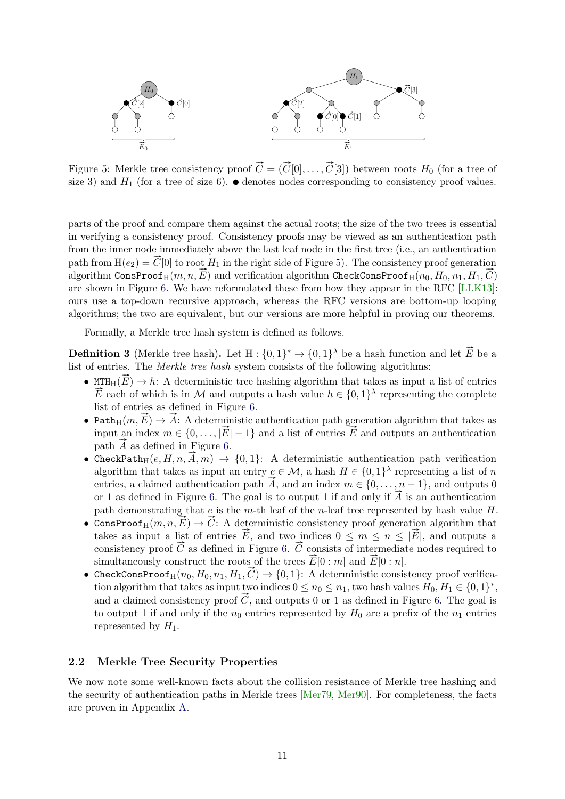<span id="page-10-1"></span>

Figure 5: Merkle tree consistency proof  $\vec{C} = (\vec{C}[0], \ldots, \vec{C}[3])$  between roots  $H_0$  (for a tree of size 3) and  $H_1$  (for a tree of size 6).  $\bullet$  denotes nodes corresponding to consistency proof values.

parts of the proof and compare them against the actual roots; the size of the two trees is essential in verifying a consistency proof. Consistency proofs may be viewed as an authentication path from the inner node immediately above the last leaf node in the first tree (i.e., an authentication path from  $H(e_2) = C[0]$  to root  $H_1$  in the right side of Figure [5\)](#page-10-1). The consistency proof generation path from  $\mathbf{H}(e_2) = \mathbf{C}[0]$  to root  $H_1$  in the right side or Figure 5). The consistency proof generation algorithm  $\texttt{ConsProof}_\text{H}(n_0, H_0, n_1, H_1, \vec{C})$ are shown in Figure [6.](#page-11-0) We have reformulated these from how they appear in the RFC [\[LLK13\]](#page-24-0): ours use a top-down recursive approach, whereas the RFC versions are bottom-up looping algorithms; the two are equivalent, but our versions are more helpful in proving our theorems.

Formally, a Merkle tree hash system is defined as follows.

**Definition 3** (Merkle tree hash). Let  $H: \{0,1\}^* \to \{0,1\}^{\lambda}$  be a hash function and let  $\vec{E}$  be a list of entries. The Merkle tree hash system consists of the following algorithms:

- MTH<sub>H</sub>( $\vec{E}$ )  $\rightarrow$  h: A deterministic tree hashing algorithm that takes as input a list of entries  $\vec{E}$  each of which is in M and outputs a hash value  $h \in \{0,1\}^{\lambda}$  representing the complete  $\vec{E}$  each of which is in M and outputs a hash value  $h \in \{0,1\}^{\lambda}$  representing the complete list of entries as defined in Figure [6.](#page-11-0)
- **Path**<sub>H</sub> $(m, \vec{E}) \rightarrow \vec{A}$ : A deterministic authentication path generation algorithm that takes as **Path** $\mu(m, E) \rightarrow A$ : A deterministic authentication path generation algorithm that takes as<br>input an index  $m \in \{0, \ldots, |\vec{E}| - 1\}$  and a list of entries  $\vec{E}$  and outputs an authentication path  $\overline{A}$  as defined in Figure [6.](#page-11-0)
- CheckPath<sub>H</sub> $(e, H, n, \overline{A}, m) \rightarrow \{0, 1\}$ : A deterministic authentication path verification algorithm that takes as input an entry  $e \in \mathcal{M}$ , a hash  $H \in \{0,1\}^{\lambda}$  representing a list of n entries, a claimed authentication path  $\vec{A}$ , and an index  $m \in \{0, \ldots, n-1\}$ , and outputs 0 or 1 as defined in Figure [6.](#page-11-0) The goal is to output 1 if and only if  $A$  is an authentication path demonstrating that  $e$  is the m-th leaf of the n-leaf tree represented by hash value H.
- path demonstrating that e is the m-th leaf of the n-teal tree represented by hash value  $H$ <br>• ConsProof<sub>H</sub> $(m, n, \vec{E}) \rightarrow \vec{C}$ : A deterministic consistency proof generation algorithm that takes as input a list of entries  $\vec{E}$ , and two indices  $0 \leq m \leq n \leq |\vec{E}|$ , and outputs a takes as input a list of entries  $E$ , and two moles  $0 \leq m \leq n \leq |E|$ , and outputs a consistency proof  $\vec{C}$  as defined in Figure [6.](#page-11-0)  $\vec{C}$  consists of intermediate nodes required to simultaneously construct the roots of the trees  $\vec{E}[0 : m]$  and  $\vec{E}[0 : n]$ .
- simultaneously construct the roots of the trees  $E[0:m]$  and  $E[0:n]$ .<br>• CheckConsProof<sub>H</sub> $(n_0, H_0, n_1, H_1, \vec{C}) \rightarrow \{0, 1\}$ : A deterministic consistency proof verification algorithm that takes as input two indices  $0 \le n_0 \le n_1$ , two hash values  $H_0, H_1 \in \{0, 1\}^*$ , and a claimed consistency proof  $\overline{C}$ , and outputs 0 or 1 as defined in Figure [6.](#page-11-0) The goal is to output 1 if and only if the  $n_0$  entries represented by  $H_0$  are a prefix of the  $n_1$  entries represented by  $H_1$ .

#### <span id="page-10-0"></span>2.2 Merkle Tree Security Properties

<span id="page-10-2"></span>We now note some well-known facts about the collision resistance of Merkle tree hashing and the security of authentication paths in Merkle trees [\[Mer79,](#page-24-2) [Mer90\]](#page-24-3). For completeness, the facts are proven in Appendix [A.](#page-25-0)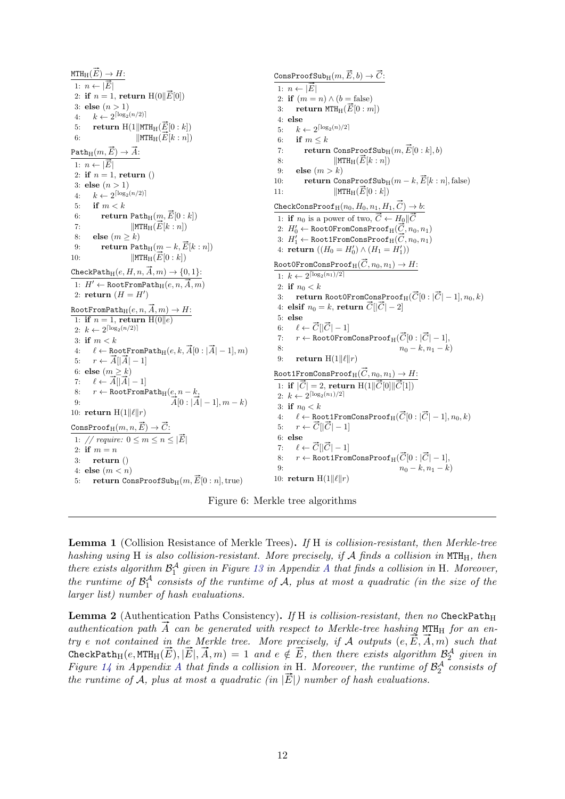<span id="page-11-0"></span> $\texttt{MTH}_\text{H}(\vec{E}) \to H$ : 1:  $n \leftarrow |\vec{E}|$ 1:  $n \leftarrow |\mathcal{L}|$ <br>2: if  $n = 1$ , return  $H(0||\vec{E}[0])$ 3: else  $(n > 1)$  $4: \quad k \leftarrow 2^{\lceil \log_2(n/2) \rceil}$ 4:  $\kappa \leftarrow 2^{1-\epsilon_2(\kappa_1-\epsilon_2)}$ <br>5: **return**  $H(1||MTH_H(\vec{E}[0:k]))$ 5: **Feturin**  $\Pi$ (1||111H<sub>H</sub>( $E$ [ $U : k$ ])<br>6:  $\|\text{MTH}_{\text{H}}(\overrightarrow{E}[k:n])\|$  $\texttt{Path}_{\text{H}}(m, \overrightarrow{E}) \rightarrow \overrightarrow{A}:$ 1:  $n \leftarrow |\vec{E}|$ 2: if  $n = 1$ , return () 3: **else**  $(n > 1)$  $4: \quad k \leftarrow 2^{\lceil \log_2(n/2) \rceil}$ 5: if  $m < k$ 6: **return Path**<sub>H</sub> $(m, \vec{E}[0:k])$ 7: kMTHH( #–E[<sup>k</sup> : <sup>n</sup>]) 8: else  $(m > k)$ 9: return  $\text{Path}_{\text{H}}(m - k, \overrightarrow{E}[k:n])$ 9: **return Path** $m = k, E$ <br>10:  $\|\text{MTH}_{\text{H}}(\vec{E}[0:k])\|$ CheckPath $H(e, H, n, \overrightarrow{A}, m) \rightarrow \{0, 1\}$ : 1:  $H' \leftarrow \text{RootFromPath}_{H}(e, n, \overrightarrow{A}, m)$ 2: return  $(H = H')$  $\texttt{RootFromPath}_{\text{H}}(e, n, \overrightarrow{A}, m) \rightarrow H:$ 1: if  $n = 1$ , return  $H(0||e)$  $2: k \leftarrow 2^{\lceil \log_2(n/2) \rceil}$ 3: if  $m < k$ 3: If  $m < \kappa$ <br>4:  $\ell \leftarrow \texttt{RootFromPath}_{H}(e, k, \overrightarrow{A}[0 : |\overrightarrow{A}| - 1], m)$ 4:  $\ell \leftarrow \text{RootFrom}$ <br>5:  $r \leftarrow \overrightarrow{A}[\overrightarrow{A}|-1]$ 6: else  $(m > k)$ 6: eise ( $m \geq \kappa$ )<br>7:  $\ell \leftarrow \overline{A}[[\overline{A}]-1]$ 8:  $r \leftarrow \text{RootFromPath}_{H}(e, n - k,$ 9:  $\vec{A}[0:|\vec{A}|-1], m-k)$ 10: return  $H(1||\ell||r)$  $\texttt{ConsProof}_\text{H}(m,n,\overrightarrow{E}) \to \overrightarrow{C}$ : 1: // require:  $0 \leq m \leq n \leq |\vec{E}|$ 2: if  $m = n$ 3: return () 4: else  $(m < n)$ 4: else  $(m < n)$ <br>5: **return** ConsProofSub<sub>H</sub> $(m, \vec{E}[0:n], \text{true})$  $\texttt{ConsProofSub}_\text{H}(m, \overrightarrow{E}, b) \rightarrow \overrightarrow{C}$ : 1:  $n \leftarrow |\vec{E}|$ 2: if  $(m = n) \wedge (b = \text{false})$ 2: II  $(m = n) \wedge (b = \text{base})$ <br>3: **return** MTH<sub>H</sub>( $\overrightarrow{E}[0 : m]$ ) 4: else 5:  $k \leftarrow 2^{\lceil \log_2(n)/2 \rceil}$ 6: if  $m \leq k$ 5: If  $m \leq k$ <br>
7: **return** ConsProofSub<sub>H</sub> $(m, \vec{E}[0:k], b)$  $\lim_{k \to \infty} \frac{\text{return} \text{Consiprocy} \text{supp}}{\text{MTH}_{\text{H}}(\overline{E}[k:n])}$ 9: else  $(m > k)$ 10: return ConsProofSub $H(m - k, \vec{E}[k:n], \text{false})$ 10: **return Consproof Sub**<sub>H</sub><br>11:  $\|\text{MTH}_{\text{H}}(\vec{E}[0:k])\|$  $\texttt{CheckConsProof}_\text{H}(n_0,H_0,n_1,H_1,\vec{C})\to b:$ 1: if  $n_0$  is a power of two,  $\vec{C} \leftarrow H_0 || \vec{C}$ 1: If  $n_0$  is a power of two,  $C \leftarrow n_0 || C$ <br>2:  $H'_0 \leftarrow \text{RootOfFromConsProof}_H(\overline{\vec{C}}, n_0, n_1)$ 2:  $H_0' \leftarrow$  RootUFromConsProof $_{\text{H}}(C, n_0, n_1)$ <br>3:  $H_1' \leftarrow$  Root1FromConsProof $_{\text{H}}(\overrightarrow{C}, n_0, n_1)$ 4: return  $((H_0 = H'_0) \wedge (H_1 = H'_1))$  ${\tt RootOfFromConsProof}_{{\rm H} }(\overrightarrow{C}, n_0, n_1) \rightarrow H:$ 1:  $k \leftarrow 2^{\lceil \log_2(n_1)/2 \rceil}$ 2: if  $n_0 < k$ 3: **return** Root0FromConsProof $_H(\vec{C}[0:|\vec{C}|-1], n_0, k)$ 4: elsif  $n_0 = k$ , return  $\vec{C}$ [ $|\vec{C}| - 2$ ] 5: else 5: **else**<br>6:  $\ell \leftarrow \vec{C}[\vert \vec{C} \vert - 1]$ 6:  $\ell \leftarrow C \left[ |C| - 1 \right]$ <br>7:  $r \leftarrow \text{RootOfFromConsProof}_{H}(\overrightarrow{C}[0:|\overrightarrow{C}|-1],$ 8:  $n_0 - k, n_1 - k$ ) 9: return  $H(1||\ell||r)$  ${\tt Root1FromConsProof}_{{\rm H}}(\overrightarrow{C}, n_0, n_1) \rightarrow H:$ 1: if  $|\vec{C}| = 2$ , return  $\text{H}(1||\vec{C}[0]||\vec{C}[1])$ 2:  $k \leftarrow 2^{\lceil \log_2(n_1)/2 \rceil}$ 3: if  $n_0 < k$ 3:  $\textbf{11} \ n_0 < \kappa$ <br>4:  $\ell \leftarrow \texttt{Root1FromConsProof}_\text{H}(\overrightarrow{C}[0:|\overrightarrow{C}|-1], n_0, k)$ 4:  $\ell \leftarrow \text{Rootirrom}$ <br>5:  $r \leftarrow \overrightarrow{C}[\vert \overrightarrow{C} \vert -1]$ 6: else 6: eise<br>7:  $\ell \leftarrow \vec{C}[\vert \vec{C} \vert - 1]$ 8:  $r \leftarrow \text{Root1FromConsProof}_{H}(\vec{C}[0:|\vec{C}|-1],$ 9:  $n_0 - k, n_1 - k$ ) 10: return  $H(1||\ell||r)$ 

Figure 6: Merkle tree algorithms

Lemma 1 (Collision Resistance of Merkle Trees). If H is collision-resistant, then Merkle-tree hashing using H is also collision-resistant. More precisely, if  $A$  finds a collision in MTH<sub>H</sub>, then there exists algorithm  $\mathcal{B}_1^{\mathcal{A}}$  $\mathcal{B}_1^{\mathcal{A}}$  $\mathcal{B}_1^{\mathcal{A}}$  given in Figure [13](#page-25-1) in Appendix A that finds a collision in H. Moreover, the runtime of  $\mathcal{B}_1^{\mathcal{A}}$  consists of the runtime of  $\mathcal{A}$ , plus at most a quadratic (in the size of the larger list) number of hash evaluations.

<span id="page-11-1"></span>**Lemma 2** (Authentication Paths Consistency). If H is collision-resistant, then no CheckPath<sub>H</sub> authentication path  $\tilde{A}$  can be generated with respect to Merkle-tree hashing MTH<sub>H</sub> for an endumentication pain A can be generated with respect to merkie-tree hashing fifth for an en-<br>try e not contained in the Merkle tree. More precisely, if A outputs  $(e, \vec{E}, \vec{A}, m)$  such that try e not contained in the Merkie tree. More precisely, if A outputs  $(e, E, A, m)$  such that<br>CheckPath<sub>H</sub> $(e, \text{MTH}_{H}(\vec{E}), |\vec{E}|, \vec{A}, m) = 1$  and  $e \notin \vec{E}$ , then there exists algorithm  $\mathcal{B}_2^{\mathcal{A}}$  given in Figure [14](#page-26-0) in [A](#page-25-0)ppendix A that finds a collision in H. Moreover, the runtime of  $\mathcal{B}_2^{\mathcal{A}}$  consists of Figure 14 in Appenaix A that jinds a collision in  $H$ . Moreover, the runtime of the runtime of A, plus at most a quadratic (in  $|\vec{E}|$ ) number of hash evaluations.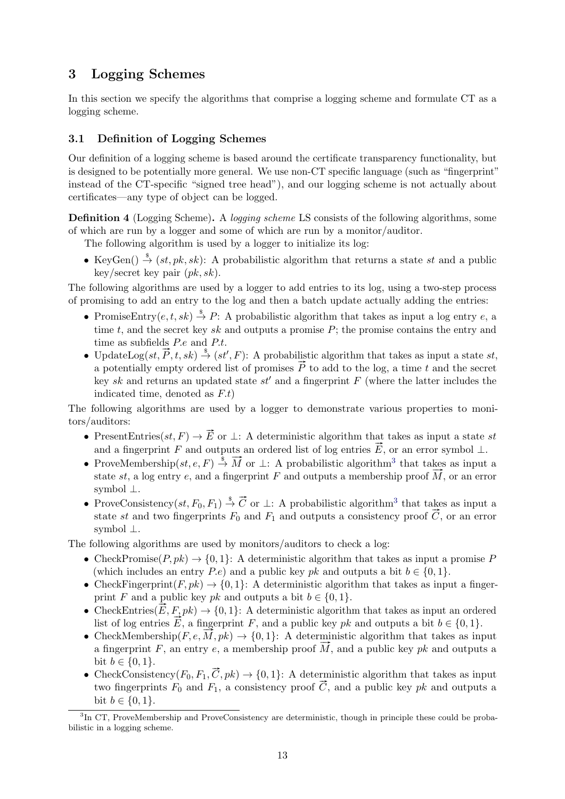# <span id="page-12-0"></span>3 Logging Schemes

In this section we specify the algorithms that comprise a logging scheme and formulate CT as a logging scheme.

# <span id="page-12-1"></span>3.1 Definition of Logging Schemes

Our definition of a logging scheme is based around the certificate transparency functionality, but is designed to be potentially more general. We use non-CT specific language (such as "fingerprint" instead of the CT-specific "signed tree head"), and our logging scheme is not actually about certificates—any type of object can be logged.

<span id="page-12-3"></span>Definition 4 (Logging Scheme). A logging scheme LS consists of the following algorithms, some of which are run by a logger and some of which are run by a monitor/auditor.

The following algorithm is used by a logger to initialize its log:

• KeyGen()  $\stackrel{\$}{\rightarrow}$  (st, pk, sk): A probabilistic algorithm that returns a state st and a public key/secret key pair  $(pk, sk)$ .

The following algorithms are used by a logger to add entries to its log, using a two-step process of promising to add an entry to the log and then a batch update actually adding the entries:

- PromiseEntry $(e, t, sk) \stackrel{\$}{\rightarrow} P$ : A probabilistic algorithm that takes as input a log entry e, a time t, and the secret key sk and outputs a promise  $P$ ; the promise contains the entry and time as subfields P.e and P.t.
- time as subfields  $P.e$  and  $P.t.$ <br>• UpdateLog(st,  $\vec{P}, t, sk$ )  $\stackrel{\text{*}}{\rightarrow}$  (st', F): A probabilistic algorithm that takes as input a state st, a potentially empty ordered list of promises  $\overline{P}$  to add to the log, a time t and the secret key sk and returns an updated state st<sup> $\ell$ </sup> and a fingerprint F (where the latter includes the indicated time, denoted as  $F.t$

The following algorithms are used by a logger to demonstrate various properties to monitors/auditors:

- PresentEntries( $st, F$ )  $\rightarrow \vec{E}$  or  $\perp$ : A deterministic algorithm that takes as input a state  $st$ and a fingerprint F and outputs an ordered list of log entries  $\vec{E}$ , or an error symbol  $\perp$ .
- ProveMembership(st, e, F)  $\stackrel{\text{\$}}{\rightarrow} \overrightarrow{M}$  or  $\perp$ : A probabilistic algorithm<sup>[3](#page-12-2)</sup> that takes as input a state st, a log entry e, and a fingerprint F and outputs a membership proof  $\overline{M}$ , or an error symbol ⊥.
- ProveConsistency(st,  $F_0, F_1$ )  $\stackrel{\$}{\rightarrow} \vec{C}$  or  $\perp$ : A probabilistic algorithm<sup>[3](#page-12-2)</sup> that takes as input a state st and two fingerprints  $F_0$  and  $F_1$  and outputs a consistency proof  $\vec{C}$ , or an error symbol ⊥.

The following algorithms are used by monitors/auditors to check a log:

- CheckPromise $(P, pk) \rightarrow \{0, 1\}$ : A deterministic algorithm that takes as input a promise P (which includes an entry P.e) and a public key pk and outputs a bit  $b \in \{0, 1\}$ .
- CheckFingerprint( $F, pk$ )  $\rightarrow$  {0, 1}: A deterministic algorithm that takes as input a fingerprint F and a public key pk and outputs a bit  $b \in \{0, 1\}.$
- Finit F and a public key  $p\kappa$  and outputs a bit  $v \in \{0, 1\}$ .<br>
 CheckEntries( $\overline{E}, F, pk$ )  $\rightarrow \{0, 1\}$ : A deterministic algorithm that takes as input an ordered list of log entries  $\vec{E}$ , a fingerprint F, and a public key pk and outputs a bit  $b \in \{0, 1\}$ .
- CheckMembership( $F, e, M, pk$ )  $\rightarrow$  {0, 1}: A deterministic algorithm that takes as input a fingerprint F, an entry e, a membership proof  $\overline{M}$ , and a public key pk and outputs a bit  $b \in \{0, 1\}$ .
- CheckConsistency $(F_0, F_1, \vec{C}, pk) \rightarrow \{0, 1\}$ : A deterministic algorithm that takes as input two fingerprints  $F_0$  and  $F_1$ , a consistency proof  $\vec{C}$ , and a public key pk and outputs a bit  $b \in \{0, 1\}.$

<span id="page-12-2"></span><sup>&</sup>lt;sup>3</sup>In CT, ProveMembership and ProveConsistency are deterministic, though in principle these could be probabilistic in a logging scheme.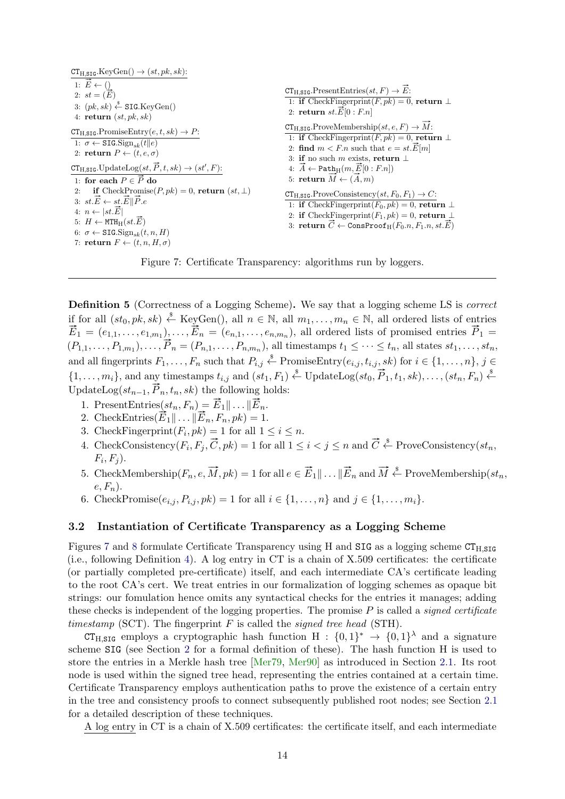<span id="page-13-1"></span> $CT_{H, SIG}.KeyGen() \rightarrow (st, pk, sk):$  $\overrightarrow{E}$   $\leftarrow$  () 2:  $st = (\overline{E})$ 3:  $(pk, sk) \stackrel{\$}{\leftarrow}$  SIG.KeyGen() 4: return  $(st, pk, sk)$  $CT_{H, SIG}$ . Promise Entry $(e, t, sk) \rightarrow P$ : 1:  $\sigma \leftarrow \text{SIG.Sign}_{ek}(t||e)$ 2: return  $P \leftarrow (t, e, \sigma)$  $\text{CT}_{H, \text{SIG}}.\text{UpdateLog}(st, \overrightarrow{P}, t, sk) \rightarrow (st', F)$ : 1: for each  $P \in \vec{P}$  do 2: if  $\text{CheckPromise}(P, pk) = 0$ , return  $(st, \perp)$ 2: II CheckPromis<br>3:  $st.\overrightarrow{E} \leftarrow st.\overrightarrow{E} \parallel \overrightarrow{P}.e$  $3: st.L \leftarrow st.$ <br> $4: n \leftarrow |st.\overline{E}|$ 4:  $n \leftarrow |st.E|$ <br>5:  $H \leftarrow \text{MTH}_{\text{H}}(st.\vec{E})$ 6:  $\sigma \leftarrow \texttt{SIG}.Sign_{sk}(t, n, H)$ 7: return  $F \leftarrow (t, n, H, \sigma)$  $CT_{H, SIG}$ . Present Entries $(st, F) \to \vec{E}$ : 1: if  $\text{CheckFingerprint}(F, pk) = 0$ , return ⊥ 1: It Checkr ingerprints<br>2: **return**  $st.\overline{E}[0:FA]$  $CT_{H, SIG}$ .ProveMembership $(st, e, F) \rightarrow \overrightarrow{M}$ : 1: if CheckFingerprint $(F, pk) = 0$ , return ⊥ 1: It Checkr ingerprint( $F, p\kappa$ ) = 0, rett<br>2: find  $m < F.n$  such that  $e = st.\vec{E}[m]$ 3: if no such m exists, return  $\perp$ 3: If no such *m* exists, return<br>4:  $\vec{A} \leftarrow \text{Path}_{H}(m, \vec{E}[0 : F.n])$ 4:  $A \leftarrow \text{Path}_{H}(m, E|0:$ <br>5: return  $\overrightarrow{M} \leftarrow (\overrightarrow{A}, m)$  $CT_{H, SIG}.ProveConsistency(st, F_0, F_1) \rightarrow C$ : 1: if CheckFingerprint $(F_0, pk) = 0$ , return ⊥ 2: if CheckFingerprint $(F_1, pk) = 0$ , return ⊥ 2: If Checkf ingerprint( $F_1, p\kappa$ ) = 0, return  $\perp$ <br>3: return  $\vec{C} \leftarrow \text{ConsProof}_{H}(F_0, n, F_1, n, st. \vec{E})$ 

Figure 7: Certificate Transparency: algorithms run by loggers.

Definition 5 (Correctness of a Logging Scheme). We say that a logging scheme LS is correct if for all  $(st_0, pk, sk) \stackrel{\$}{\leftarrow} \text{KeyGen}(),$  all  $n \in \mathbb{N}$ , all  $m_1, \ldots, m_n \in \mathbb{N}$ , all ordered lists of entries If for all  $(st_0, pk, sk) \leftarrow \text{KeyGen}(1)$ , all  $n \in \mathbb{N}$ , all  $m_1, \ldots, m_n \in \mathbb{N}$ , all ordered lists of promised entries  $\vec{P}_1 =$ <br> $\vec{E}_1 = (e_{1,1}, \ldots, e_{1,m_1}), \ldots, \vec{E}_n = (e_{n,1}, \ldots, e_{n,m_n}),$  all ordered lists of promised entries  $\$  $P_{11} = (e_{1,1}, \ldots, e_{1,m_1}), \ldots, P_n = (e_{n,1}, \ldots, e_{n,m_n}),$  and ordered rists of profinsed entries  $P_1 = (P_{1,1}, \ldots, P_{1,m_1}), \ldots, \vec{P}_n = (P_{n,1}, \ldots, P_{n,m_n}),$  all timestamps  $t_1 \leq \cdots \leq t_n$ , all states  $st_1, \ldots, st_n$ , and all fingerprints  $F_1, \ldots, F_n$  such that  $P_{i,j} \overset{\$}{\leftarrow}$  PromiseEntry $(e_{i,j}, t_{i,j}, sk)$  for  $i \in \{1, \ldots, n\}, j \in$ And an ingerprints  $I_1, \ldots, I_n$  such that  $I_{i,j}$ . Then is charge  $(c_{i,j}, c_{i,j}, s_n)$  for  $i \in \{1, \ldots, n_i\}$ ,  $j \in \{1, \ldots, m_i\}$ , and any timestamps  $t_{i,j}$  and  $(st_1, F_1) \stackrel{\$}{\leftarrow}$  UpdateLog $(st_0, \vec{P}_1, t_1, sk), \ldots, (st_n, F_n) \stackrel{\$}{\$  $\overline{U}_1, \ldots, \overline{m_i}$ , and any timestamps  $\overline{U}_{i,j}$  and  $(sU_1, \overline{U_1})$ <br>UpdateLog $(st_{n-1}, \overrightarrow{P}_n, t_n, sk)$  the following holds:

- date  $\text{Log}(st_{n-1}, T_n, t_n, s_n)$  and following in<br>1. PresentEntries $(st_n, F_n) = \vec{E}_1 || \dots || \vec{E}_n$ .
- 1. Present Entries  $(\vec{E}_1 | \dots | \vec{E}_n, F_n, pk) = 1$ .<br>2. CheckEntries  $(\vec{E}_1 | \dots | \vec{E}_n, F_n, pk) = 1$ .
- 3. CheckFingerprint $(F_i, pk) = 1$  for all  $1 \leq i \leq n$ .
- 4. CheckConsistency $(F_i, F_j, \vec{C}, pk) = 1$  for all  $1 \leq i < j \leq n$  and  $\vec{C} \stackrel{\$}{\leftarrow}$  ProveConsistency $(st_n,$  $F_i, F_j$ ).
- 5. CheckMembership $(F_n, e, \overrightarrow{M}, pk) = 1$  for all  $e \in \overrightarrow{E}_1 || \dots || \overrightarrow{E}_n$  and  $\overrightarrow{M} \stackrel{\$}{\leftarrow}$  ProveMembership $(st_n, s_n)$  $e, F_n$ ).
- 6. CheckPromise $(e_{i,j}, P_{i,j}, pk) = 1$  for all  $i \in \{1, ..., n\}$  and  $j \in \{1, ..., m_i\}$ .

#### <span id="page-13-0"></span>3.2 Instantiation of Certificate Transparency as a Logging Scheme

Figures [7](#page-13-1) and [8](#page-14-0) formulate Certificate Transparency using H and SIG as a logging scheme  $CT_{H, SIG}$ (i.e., following Definition [4\)](#page-12-3). A log entry in CT is a chain of X.509 certificates: the certificate (or partially completed pre-certificate) itself, and each intermediate CA's certificate leading to the root CA's cert. We treat entries in our formalization of logging schemes as opaque bit strings: our fomulation hence omits any syntactical checks for the entries it manages; adding these checks is independent of the logging properties. The promise  $P$  is called a *signed certificate* timestamp (SCT). The fingerprint  $F$  is called the *signed tree head* (STH).

CT<sub>H,SIG</sub> employs a cryptographic hash function H :  $\{0,1\}^* \rightarrow \{0,1\}^{\lambda}$  and a signature scheme SIG (see Section [2](#page-8-0) for a formal definition of these). The hash function H is used to store the entries in a Merkle hash tree [\[Mer79,](#page-24-2) [Mer90\]](#page-24-3) as introduced in Section [2.1.](#page-8-1) Its root node is used within the signed tree head, representing the entries contained at a certain time. Certificate Transparency employs authentication paths to prove the existence of a certain entry in the tree and consistency proofs to connect subsequently published root nodes; see Section [2.1](#page-8-1) for a detailed description of these techniques.

A log entry in CT is a chain of X.509 certificates: the certificate itself, and each intermediate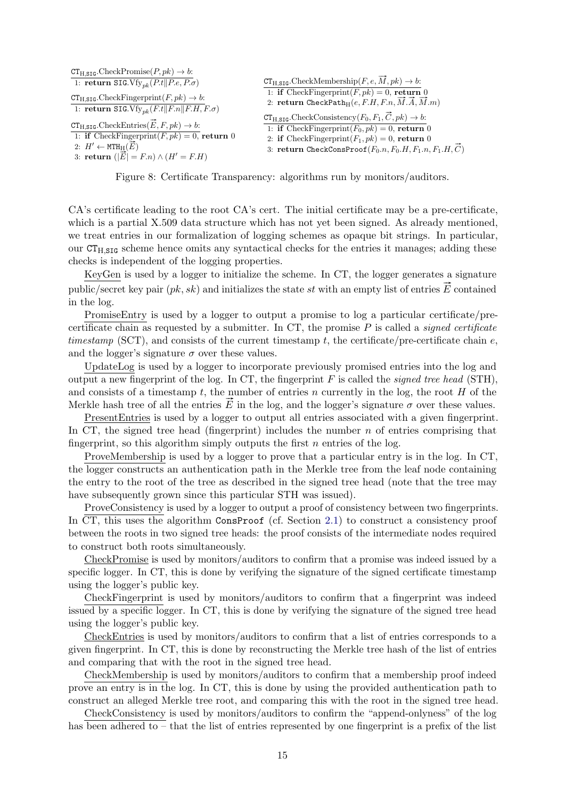<span id="page-14-0"></span>

| $CT_{H, SIG}.Check Promise(P, pk) \rightarrow b.$                                                                       |                                                                                                                                                |
|-------------------------------------------------------------------------------------------------------------------------|------------------------------------------------------------------------------------------------------------------------------------------------|
| 1: return SIG. Vfy <sub>pk</sub> $(P.t \  P.e, P.\sigma)$                                                               | $CT_{H, SIG}$ . CheckMembership $(F, e, \overline{M}, pk) \rightarrow b$ .                                                                     |
| $CT_{H, SIG}$ . Check Fingerprint $(F, pk) \rightarrow b$ :                                                             | 1: if CheckFingerprint $(F, pk) = 0$ , return 0<br>2: return CheckPath <sub>H</sub> $(e, F.H, F.n, \overline{M}.\overline{A}, \overline{M}.m)$ |
| 1: return SIG. Vfy <sub>pk</sub> $(F.t \  F.n \  F.H, F.\sigma)$                                                        |                                                                                                                                                |
| $CT_{H, SIG}.CheckEntries(\overrightarrow{E}, F, pk) \rightarrow b:$<br>1: if CheckFingerprint $(F, pk) = 0$ , return 0 | $CT_{H, SIG}$ . Check Consistency $(F_0, F_1, \vec{C}, pk) \rightarrow b$ :<br>1: if CheckFingerprint( $F_0, pk$ ) = 0, return 0               |
| 2: $H' \leftarrow \text{MTH}_{\text{H}}(E)$                                                                             | 2: if CheckFingerprint $(F_1, pk) = 0$ , return 0<br>3: return CheckConsProof $(F_0.n, F_0.H, F_1.n, F_1.H, \overline{C})$                     |
| 3: return $( E  = F.n) \wedge (H' = F.H)$                                                                               |                                                                                                                                                |

Figure 8: Certificate Transparency: algorithms run by monitors/auditors.

CA's certificate leading to the root CA's cert. The initial certificate may be a pre-certificate, which is a partial X.509 data structure which has not yet been signed. As already mentioned, we treat entries in our formalization of logging schemes as opaque bit strings. In particular, our  $CT_{H,STG}$  scheme hence omits any syntactical checks for the entries it manages; adding these checks is independent of the logging properties.

KeyGen is used by a logger to initialize the scheme. In CT, the logger generates a signature public/secret key pair  $(pk, sk)$  and initializes the state st with an empty list of entries  $\vec{E}$  contained in the log.

PromiseEntry is used by a logger to output a promise to log a particular certificate/precertificate chain as requested by a submitter. In CT, the promise  $P$  is called a *signed certificate* timestamp (SCT), and consists of the current timestamp t, the certificate/pre-certificate chain e. and the logger's signature  $\sigma$  over these values.

UpdateLog is used by a logger to incorporate previously promised entries into the log and output a new fingerprint of the log. In CT, the fingerprint  $F$  is called the *signed tree head* (STH), and consists of a timestamp t, the number of entries n currently in the log, the root  $H$  of the Merkle hash tree of all the entries  $\vec{E}$  in the log, and the logger's signature  $\sigma$  over these values.

PresentEntries is used by a logger to output all entries associated with a given fingerprint. In CT, the signed tree head (fingerprint) includes the number  $n$  of entries comprising that fingerprint, so this algorithm simply outputs the first  $n$  entries of the log.

ProveMembership is used by a logger to prove that a particular entry is in the log. In CT, the logger constructs an authentication path in the Merkle tree from the leaf node containing the entry to the root of the tree as described in the signed tree head (note that the tree may have subsequently grown since this particular STH was issued).

ProveConsistency is used by a logger to output a proof of consistency between two fingerprints. In CT, this uses the algorithm ConsProof (cf. Section [2.1\)](#page-8-1) to construct a consistency proof between the roots in two signed tree heads: the proof consists of the intermediate nodes required to construct both roots simultaneously.

CheckPromise is used by monitors/auditors to confirm that a promise was indeed issued by a specific logger. In CT, this is done by verifying the signature of the signed certificate timestamp using the logger's public key.

CheckFingerprint is used by monitors/auditors to confirm that a fingerprint was indeed issued by a specific logger. In CT, this is done by verifying the signature of the signed tree head using the logger's public key.

CheckEntries is used by monitors/auditors to confirm that a list of entries corresponds to a given fingerprint. In CT, this is done by reconstructing the Merkle tree hash of the list of entries and comparing that with the root in the signed tree head.

CheckMembership is used by monitors/auditors to confirm that a membership proof indeed prove an entry is in the log. In CT, this is done by using the provided authentication path to construct an alleged Merkle tree root, and comparing this with the root in the signed tree head.

CheckConsistency is used by monitors/auditors to confirm the "append-onlyness" of the log has been adhered to – that the list of entries represented by one fingerprint is a prefix of the list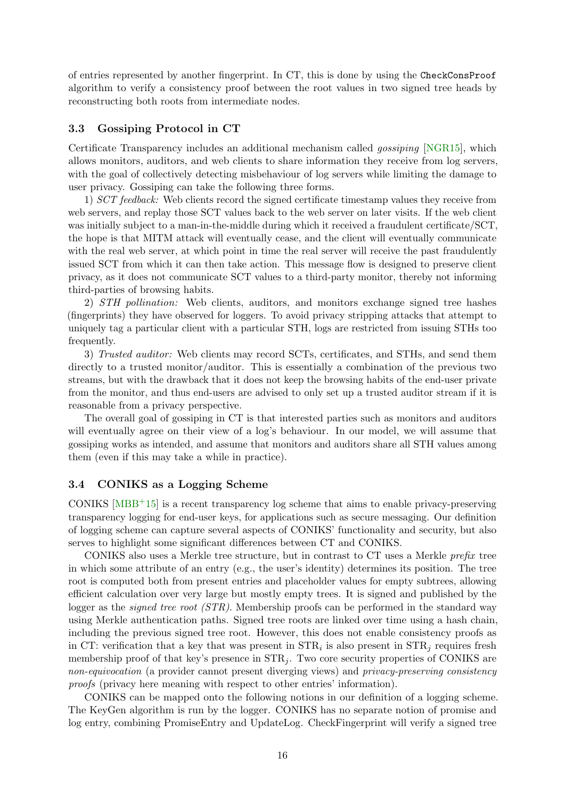of entries represented by another fingerprint. In CT, this is done by using the CheckConsProof algorithm to verify a consistency proof between the root values in two signed tree heads by reconstructing both roots from intermediate nodes.

#### <span id="page-15-0"></span>3.3 Gossiping Protocol in CT

Certificate Transparency includes an additional mechanism called gossiping [\[NGR15\]](#page-24-4), which allows monitors, auditors, and web clients to share information they receive from log servers, with the goal of collectively detecting misbehaviour of log servers while limiting the damage to user privacy. Gossiping can take the following three forms.

1) SCT feedback: Web clients record the signed certificate timestamp values they receive from web servers, and replay those SCT values back to the web server on later visits. If the web client was initially subject to a man-in-the-middle during which it received a fraudulent certificate/SCT, the hope is that MITM attack will eventually cease, and the client will eventually communicate with the real web server, at which point in time the real server will receive the past fraudulently issued SCT from which it can then take action. This message flow is designed to preserve client privacy, as it does not communicate SCT values to a third-party monitor, thereby not informing third-parties of browsing habits.

2) STH pollination: Web clients, auditors, and monitors exchange signed tree hashes (fingerprints) they have observed for loggers. To avoid privacy stripping attacks that attempt to uniquely tag a particular client with a particular STH, logs are restricted from issuing STHs too frequently.

3) Trusted auditor: Web clients may record SCTs, certificates, and STHs, and send them directly to a trusted monitor/auditor. This is essentially a combination of the previous two streams, but with the drawback that it does not keep the browsing habits of the end-user private from the monitor, and thus end-users are advised to only set up a trusted auditor stream if it is reasonable from a privacy perspective.

The overall goal of gossiping in CT is that interested parties such as monitors and auditors will eventually agree on their view of a log's behaviour. In our model, we will assume that gossiping works as intended, and assume that monitors and auditors share all STH values among them (even if this may take a while in practice).

#### <span id="page-15-1"></span>3.4 CONIKS as a Logging Scheme

CONIKS  $[MBB<sup>+</sup>15]$  $[MBB<sup>+</sup>15]$  is a recent transparency log scheme that aims to enable privacy-preserving transparency logging for end-user keys, for applications such as secure messaging. Our definition of logging scheme can capture several aspects of CONIKS' functionality and security, but also serves to highlight some significant differences between CT and CONIKS.

CONIKS also uses a Merkle tree structure, but in contrast to CT uses a Merkle prefix tree in which some attribute of an entry (e.g., the user's identity) determines its position. The tree root is computed both from present entries and placeholder values for empty subtrees, allowing efficient calculation over very large but mostly empty trees. It is signed and published by the logger as the *signed tree root (STR)*. Membership proofs can be performed in the standard way using Merkle authentication paths. Signed tree roots are linked over time using a hash chain, including the previous signed tree root. However, this does not enable consistency proofs as in CT: verification that a key that was present in  $STR_i$  is also present in  $STR_j$  requires fresh membership proof of that key's presence in  $STR_i$ . Two core security properties of CONIKS are non-equivocation (a provider cannot present diverging views) and *privacy-preserving consistency* proofs (privacy here meaning with respect to other entries' information).

CONIKS can be mapped onto the following notions in our definition of a logging scheme. The KeyGen algorithm is run by the logger. CONIKS has no separate notion of promise and log entry, combining PromiseEntry and UpdateLog. CheckFingerprint will verify a signed tree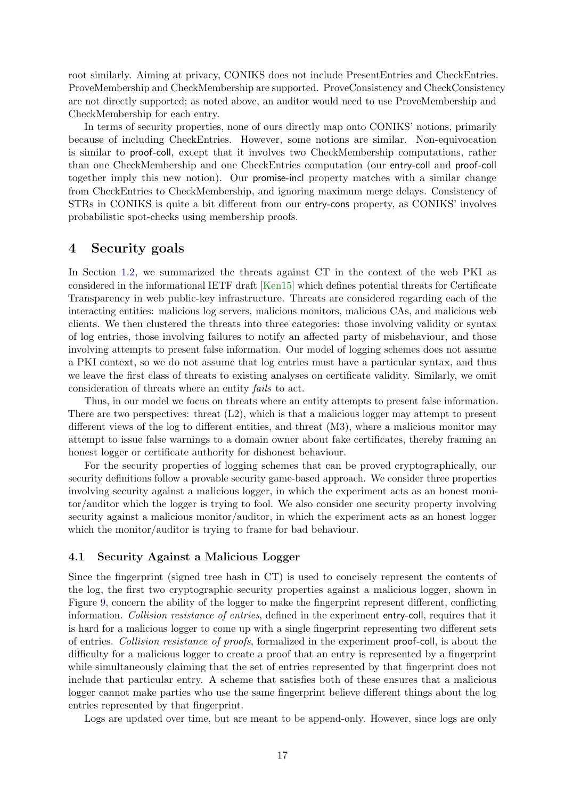root similarly. Aiming at privacy, CONIKS does not include PresentEntries and CheckEntries. ProveMembership and CheckMembership are supported. ProveConsistency and CheckConsistency are not directly supported; as noted above, an auditor would need to use ProveMembership and CheckMembership for each entry.

In terms of security properties, none of ours directly map onto CONIKS' notions, primarily because of including CheckEntries. However, some notions are similar. Non-equivocation is similar to proof-coll, except that it involves two CheckMembership computations, rather than one CheckMembership and one CheckEntries computation (our entry-coll and proof-coll together imply this new notion). Our promise-incl property matches with a similar change from CheckEntries to CheckMembership, and ignoring maximum merge delays. Consistency of STRs in CONIKS is quite a bit different from our entry-cons property, as CONIKS' involves probabilistic spot-checks using membership proofs.

# <span id="page-16-0"></span>4 Security goals

In Section [1.2,](#page-4-0) we summarized the threats against CT in the context of the web PKI as considered in the informational IETF draft [\[Ken15\]](#page-23-6) which defines potential threats for Certificate Transparency in web public-key infrastructure. Threats are considered regarding each of the interacting entities: malicious log servers, malicious monitors, malicious CAs, and malicious web clients. We then clustered the threats into three categories: those involving validity or syntax of log entries, those involving failures to notify an affected party of misbehaviour, and those involving attempts to present false information. Our model of logging schemes does not assume a PKI context, so we do not assume that log entries must have a particular syntax, and thus we leave the first class of threats to existing analyses on certificate validity. Similarly, we omit consideration of threats where an entity fails to act.

Thus, in our model we focus on threats where an entity attempts to present false information. There are two perspectives: threat (L2), which is that a malicious logger may attempt to present different views of the log to different entities, and threat (M3), where a malicious monitor may attempt to issue false warnings to a domain owner about fake certificates, thereby framing an honest logger or certificate authority for dishonest behaviour.

For the security properties of logging schemes that can be proved cryptographically, our security definitions follow a provable security game-based approach. We consider three properties involving security against a malicious logger, in which the experiment acts as an honest monitor/auditor which the logger is trying to fool. We also consider one security property involving security against a malicious monitor/auditor, in which the experiment acts as an honest logger which the monitor/auditor is trying to frame for bad behaviour.

#### <span id="page-16-1"></span>4.1 Security Against a Malicious Logger

Since the fingerprint (signed tree hash in CT) is used to concisely represent the contents of the log, the first two cryptographic security properties against a malicious logger, shown in Figure [9,](#page-17-2) concern the ability of the logger to make the fingerprint represent different, conflicting information. Collision resistance of entries, defined in the experiment entry-coll, requires that it is hard for a malicious logger to come up with a single fingerprint representing two different sets of entries. Collision resistance of proofs, formalized in the experiment proof-coll, is about the difficulty for a malicious logger to create a proof that an entry is represented by a fingerprint while simultaneously claiming that the set of entries represented by that fingerprint does not include that particular entry. A scheme that satisfies both of these ensures that a malicious logger cannot make parties who use the same fingerprint believe different things about the log entries represented by that fingerprint.

Logs are updated over time, but are meant to be append-only. However, since logs are only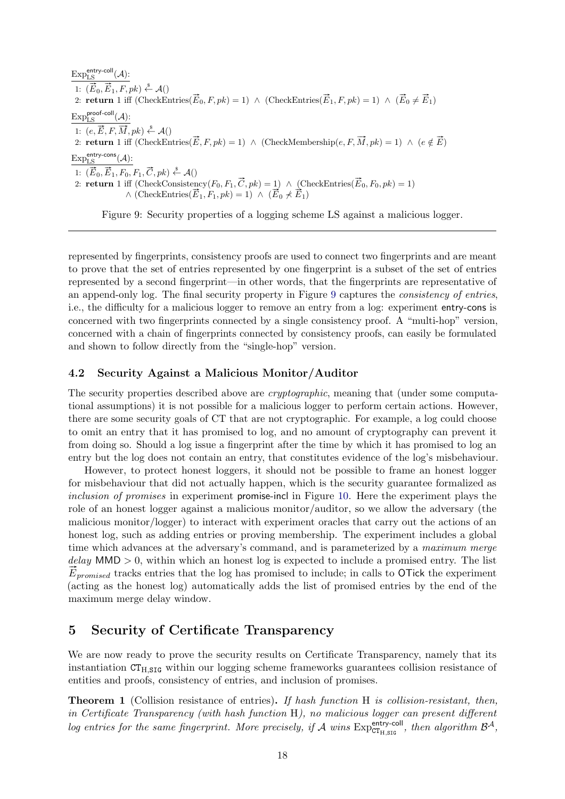<span id="page-17-2"></span> $\mathrm{Exp}_{\mathrm{LS}}^{\mathsf{entry-coll}}(\mathcal{A})$ : 1:  $(\overrightarrow{E}_0, \overrightarrow{E}_1, F, pk) \stackrel{\$}{\leftarrow} \mathcal{A}()$ 1:  $(E_0, E_1, F, p\kappa) \leftarrow \mathcal{A}(1)$ <br>2: **return** 1 iff (CheckEntries( $\vec{E}_0, F, p\kappa$ ) = 1)  $\wedge$  (CheckEntries( $\vec{E}_1, F, p\kappa$ ) = 1)  $\wedge$  ( $\vec{E}_0 \neq \vec{E}_1$ )  $\mathrm{Exp}_{\mathrm{LS}}^{\mathsf{proof-coll}}(\mathcal{A})$ : 1:  $(e, \overrightarrow{E}, F, \overrightarrow{M}, pk) \stackrel{\$}{\leftarrow} \mathcal{A}()$ 1:  $(e, E, F, M, p \kappa) \leftarrow A()$ <br>2: **return** 1 iff (CheckEntries( $\vec{E}, F, pk$ ) = 1)  $\wedge$  (CheckMembership $(e, F, \vec{M}, pk) = 1$ )  $\wedge$   $(e \notin \vec{E})$  $\mathrm{Exp}_{\mathrm{LS}}^{\mathsf{entry-cons}}(\mathcal{A})$ : 1:  $(\overrightarrow{E}_0, \overrightarrow{E}_1, F_0, F_1, \overrightarrow{C}, pk) \stackrel{\$}{\leftarrow} \mathcal{A}()$ 1:  $(E_0, E_1, F_0, F_1, C, p\kappa) \leftarrow \mathcal{A}(1)$ <br>
2: **return** 1 iff (CheckConsistency( $F_0, F_1, \vec{C}, p\kappa$ ) = 1)  $\wedge$  (CheckEntries( $\vec{E}_0, F_0, p\kappa$ ) = 1) If (CheckConsistency( $F_0, F_1, C, p\kappa$ ) = 1) ∧ (CheckEntries( $\vec{E}_1, F_1, pk$ ) = 1) ∧ ( $\vec{E}_0 \not\prec \vec{E}_1$ )

Figure 9: Security properties of a logging scheme LS against a malicious logger.

represented by fingerprints, consistency proofs are used to connect two fingerprints and are meant to prove that the set of entries represented by one fingerprint is a subset of the set of entries represented by a second fingerprint—in other words, that the fingerprints are representative of an append-only log. The final security property in Figure [9](#page-17-2) captures the consistency of entries, i.e., the difficulty for a malicious logger to remove an entry from a log: experiment entry-cons is concerned with two fingerprints connected by a single consistency proof. A "multi-hop" version, concerned with a chain of fingerprints connected by consistency proofs, can easily be formulated and shown to follow directly from the "single-hop" version.

#### <span id="page-17-0"></span>4.2 Security Against a Malicious Monitor/Auditor

The security properties described above are *cryptographic*, meaning that (under some computational assumptions) it is not possible for a malicious logger to perform certain actions. However, there are some security goals of CT that are not cryptographic. For example, a log could choose to omit an entry that it has promised to log, and no amount of cryptography can prevent it from doing so. Should a log issue a fingerprint after the time by which it has promised to log an entry but the log does not contain an entry, that constitutes evidence of the log's misbehaviour.

However, to protect honest loggers, it should not be possible to frame an honest logger for misbehaviour that did not actually happen, which is the security guarantee formalized as inclusion of promises in experiment promise-incl in Figure [10.](#page-18-0) Here the experiment plays the role of an honest logger against a malicious monitor/auditor, so we allow the adversary (the malicious monitor/logger) to interact with experiment oracles that carry out the actions of an honest log, such as adding entries or proving membership. The experiment includes a global time which advances at the adversary's command, and is parameterized by a maximum merge  $delay \text{ MMD} > 0$ , within which an honest log is expected to include a promised entry. The list  $E_{promised}$  tracks entries that the log has promised to include; in calls to OTick the experiment (acting as the honest log) automatically adds the list of promised entries by the end of the maximum merge delay window.

# <span id="page-17-1"></span>5 Security of Certificate Transparency

We are now ready to prove the security results on Certificate Transparency, namely that its instantiation  $CT_{H, SIG}$  within our logging scheme frameworks guarantees collision resistance of entities and proofs, consistency of entries, and inclusion of promises.

Theorem 1 (Collision resistance of entries). If hash function H is collision-resistant, then, in Certificate Transparency (with hash function H), no malicious logger can present different log entries for the same fingerprint. More precisely, if  $\mathcal A$  wins  $\mathrm{Exp}_{\mathrm{CTH},\mathrm{Stg}}^{\mathsf{entry-coll}}$ , then algorithm  $\mathcal B^{\mathcal A}$ ,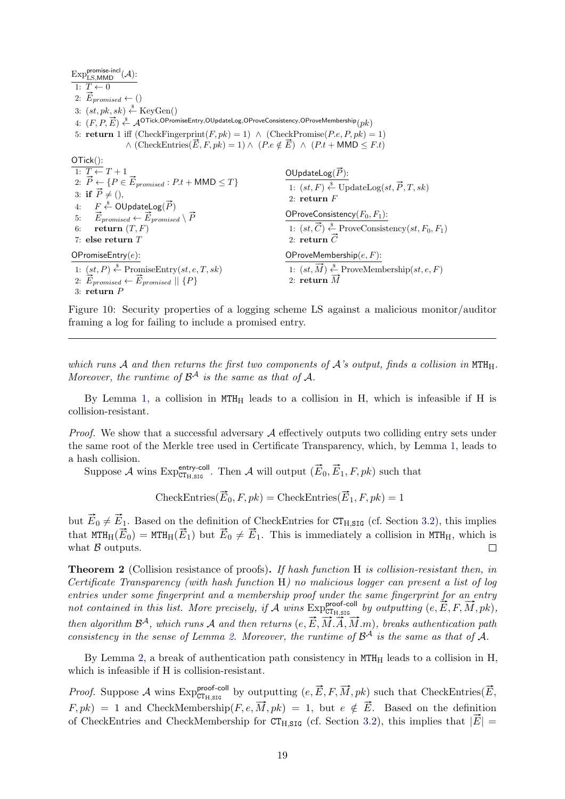<span id="page-18-0"></span> $\mathrm{Exp}_{\mathrm{LS},\mathsf{MMD}}^{\mathsf{promise-ind}}(\mathcal{A})$ : 1:  $T \leftarrow 0$ 1:  $\overrightarrow{E}$  + 0<br>2:  $\overrightarrow{E}$  promised  $\leftarrow$  () 3:  $(st, pk, sk) \stackrel{\$}{\leftarrow} \text{KeyGen}()$  $\{a\colon (B,Pm), b\in \mathcal{A}\}$  (  $F, P, \vec{E}) \overset{\text{g}}{\leftarrow} \mathcal{A}^{\text{OTick}, \text{OPromiseEntry}, \text{OUpdateLog}, \text{OProveConsistency}, \text{OProveMembership}(pk)$ 5: **return** 1 iff  $(CheckFingerprint(F, pk) = 1) \wedge (CheckPromise(P.e, P, pk) = 1)$ If (CheckF ingerprint(*F*,  $p\kappa$ ) = 1) ∧ (CheckFromse(*F*.*e*,  $F$ ,  $p\kappa$ ) = 1)<br>
∧ (CheckEntries( $\vec{E}$ ,  $F$ ,  $pk$ ) = 1) ∧ ( $P$ . $e \notin \vec{E}$ ) ∧ ( $P$ . $t$  + MMD  $\leq F$ . $t$ ) OTick(): 1:  $T \leftarrow T + 1$ 1:  $I \leftarrow I + 1$ <br>2:  $\overrightarrow{P} \leftarrow \{P \in \overrightarrow{E}_{promised} : P.t + \text{MMD} \leq T\}$ 3: if  $\vec{P} \neq$  (), 9.  $H$   $\uparrow$   $\uparrow$   $\uparrow$   $\uparrow$   $\uparrow$   $\uparrow$   $\uparrow$   $\uparrow$   $\uparrow$   $\uparrow$   $\uparrow$   $\uparrow$   $\uparrow$   $\uparrow$   $\uparrow$   $\uparrow$   $\uparrow$   $\uparrow$   $\uparrow$   $\uparrow$   $\uparrow$   $\uparrow$   $\uparrow$   $\uparrow$   $\uparrow$   $\uparrow$   $\uparrow$   $\uparrow$   $\uparrow$   $\uparrow$   $\uparrow$   $\uparrow$   $\uparrow$   $\uparrow$   $\uparrow$   $\up$ 5:  $\vec{E}_{promised} \leftarrow \vec{E}_{promised} \setminus \vec{P}$ return  $(T, F)$ 7: else return T OPromiseEntry(e): 1:  $(st, P) \stackrel{\$}{\leftarrow}$  PromiseEntry $(st, e, T, sk)$ 1:  $(st, F) \leftarrow$  PromiseEntry(st, e,<br>2:  $\vec{E}_{promised} \leftarrow \vec{E}_{promised} || \{P\}$ 3: return P  $\mathsf{OUpdateLog}(\vec{P})$ : 1:  $(st, F) \stackrel{\$}{\leftarrow}$  UpdateLog( $st, \vec{P}, T, sk$ ) 2: return F OProveConsistency $(F_0, F_1)$ : 1:  $(st, \vec{C}) \overset{\text{s}}{\leftarrow} \text{ProveConsistency}(st, F_0, F_1)$ 1:  $(st, C) \leftarrow$ <br>2: return  $\vec{C}$ OProveMembership $(e, F)$ : 1:  $(st, \overline{M}) \overset{\text{a}}{\leftarrow}$  ProveMembership $(st, e, F)$ 1:  $(s_i, M) \leftarrow$ <br>2: return  $\overrightarrow{M}$ 

Figure 10: Security properties of a logging scheme LS against a malicious monitor/auditor framing a log for failing to include a promised entry.

which runs A and then returns the first two components of A's output, finds a collision in MTH<sub>H</sub>. Moreover, the runtime of  $\mathcal{B}^{\mathcal{A}}$  is the same as that of  $\mathcal{A}$ .

By Lemma [1,](#page-10-2) a collision in  $MTH<sub>H</sub>$  leads to a collision in H, which is infeasible if H is collision-resistant.

*Proof.* We show that a successful adversary  $A$  effectively outputs two colliding entry sets under the same root of the Merkle tree used in Certificate Transparency, which, by Lemma [1,](#page-10-2) leads to a hash collision.

Suppose A wins  $\text{Exp}_{\text{CT}_{H, \text{SIG}}}^{\text{entry-colll}}$ . Then A will output  $(\vec{E}_0, \vec{E}_1, F, pk)$  such that

 $\text{CheckEntries}(\overrightarrow{E}_0, F, pk) = \text{CheckEntries}(\overrightarrow{E}_1, F, pk) = 1$ 

but  $\vec{E}_0 \neq \vec{E}_1$ . Based on the definition of CheckEntries for  $CT_{H, SIG}$  (cf. Section [3.2\)](#page-13-0), this implies but  $E_0 \neq E_1$ . Based on the definition of CheckEntries for Cr<sub>H,SIG</sub> (cf. Section 3.2), this implies<br>that MTH<sub>H</sub>( $\vec{E}_0$ ) = MTH<sub>H</sub>( $\vec{E}_1$ ) but  $\vec{E}_0 \neq \vec{E}_1$ . This is immediately a collision in MTH<sub>H</sub>, which is what  $\beta$  outputs.  $\Box$ 

**Theorem 2** (Collision resistance of proofs). If hash function H is collision-resistant then, in Certificate Transparency (with hash function H) no malicious logger can present a list of log entries under some fingerprint and a membership proof under the same fingerprint for an entry entries under some jingerprint and a membership proof under the same jingerprint for an entry<br>not contained in this list. More precisely, if A wins  $\exp^{\text{proof-coll}}_{\text{CH,std}}$  by outputting  $(e, \overrightarrow{E}, F, \overrightarrow{M}, pk)$ , then algorithm  $\mathcal{B}^{\mathcal{A}}$ , which runs  $\mathcal{A}$  and then returns  $(e, \vec{E}, \vec{M}.\vec{A}, \vec{M}.m)$ , breaks authentication path consistency in the sense of Lemma [2.](#page-11-1) Moreover, the runtime of  $\mathcal{B}^{\mathcal{A}}$  is the same as that of  $\mathcal{A}$ .

By Lemma [2,](#page-11-1) a break of authentication path consistency in  $MTH<sub>H</sub>$  leads to a collision in H, which is infeasible if H is collision-resistant.

*Proof.* Suppose A wins  $\text{Exp}_{\text{CT}_{H, SIG}}^{\text{proof-coll}}$  by outputting  $(e, \vec{E}, F, \vec{M}, pk)$  such that CheckEntries( $\vec{E}$ , F, pk) = 1 and CheckMembership(F, e,  $\overrightarrow{M}$ , pk) = 1, but  $e \notin \overrightarrow{E}$ . Based on the definition  $F, p\kappa$  = 1 and CheckMembership  $(r, e, M, p\kappa) = 1$ , but  $e \notin E$ . Based on the definition<br>of CheckEntries and CheckMembership for  $CT_{H, STG}$  (cf. Section [3.2\)](#page-13-0), this implies that  $|\vec{E}| =$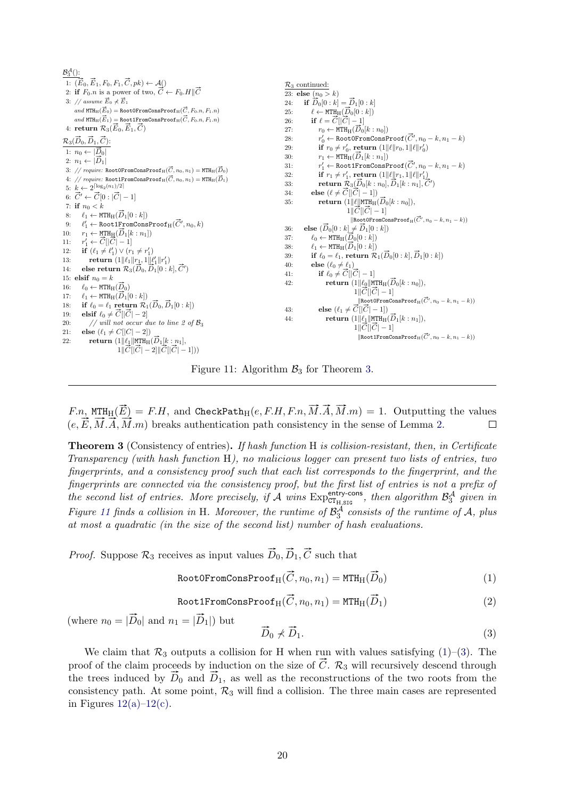<span id="page-19-1"></span>

| $\mathcal{B}_3^{\mathcal{A}}($ : |                                                                                                                 |     |                                                                                                                                         |
|----------------------------------|-----------------------------------------------------------------------------------------------------------------|-----|-----------------------------------------------------------------------------------------------------------------------------------------|
|                                  | 1: $(\overrightarrow{E}_0, \overrightarrow{E}_1, F_0, F_1, \overrightarrow{C}, pk) \leftarrow \mathcal{A}()$    |     | $\mathcal{R}_3$ continued:                                                                                                              |
|                                  | 2: if $F_0 \cdot n$ is a power of two, $\overrightarrow{C} \leftarrow F_0 \cdot H \parallel \overrightarrow{C}$ |     | 23: <b>else</b> $(n_0 > k)$                                                                                                             |
|                                  | 3: // assume $\vec{E}_0 \nless \vec{E}_1$                                                                       | 24: | if $\vec{D}_0[0:k] = \vec{D}_1[0:k]$                                                                                                    |
|                                  | and $\texttt{MTH}_H(\overrightarrow{E}_0) = \texttt{RootOfFromConsProof}_H(\overrightarrow{C}, F_0.n, F_1.n)$   | 25: | $\ell \leftarrow \text{MTH}_{\text{H}}(D_0[0:k])$                                                                                       |
|                                  | and $\texttt{MTH}_H(\vec{E}_1) = \texttt{Root1FromConsProof}_H(\vec{C}, F_0.n, F_1.n)$                          | 26: | if $\ell = \overline{C}[\overline{ C }-1]$                                                                                              |
|                                  | 4: return $\mathcal{R}_3(\vec{E}_0, \vec{E}_1, \vec{C})$                                                        | 27: | $r_0 \leftarrow \text{MTH}_H(\overline{D}_0[k:n_0])$                                                                                    |
|                                  |                                                                                                                 | 28: | $r'_0 \leftarrow \text{RootOfFromConsProof}(\widetilde{C}', n_0 - k, n_1 - k)$                                                          |
|                                  | $\frac{\mathcal{R}_3(\vec{D}_0, \vec{D}_1, \vec{C})}{1: n_0 \leftarrow  \vec{D}_0 }$                            | 29: | if $r_0 \neq r'_0$ , return $(1  \ell  r_0, 1  \ell  r'_0)$                                                                             |
|                                  | 2: $n_1 \leftarrow  \vec{D}_1 $                                                                                 | 30: | $r_1 \leftarrow \text{MTH}_H(\overline{D}_1[k:n_1])$                                                                                    |
|                                  | 3: // require: RootOFromConsProof <sub>H</sub> $(\overline{C}, n_0, n_1) = \text{MTH}_H(\overline{D}_0)$        | 31: | $r'_1 \leftarrow$ Root1FromConsProof $(\vec{C}', n_0 - k, n_1 - k)$                                                                     |
|                                  | 4: // require: Root1FromConsProof $_H(\vec{C}, n_0, n_1) = MTH_H(\vec{D}_1)$                                    | 32: | if $r_1 \neq r'_1$ , return $(1  \ell  r_1, 1  \ell  r'_1)$                                                                             |
|                                  | 5: $k \leftarrow 2^{\lceil \log_2(n_1)/2 \rceil}$                                                               | 33: | return $\mathcal{R}_3(\vec{D}_0[k:n_0], \vec{D}_1[k:n_1], \vec{C}')$                                                                    |
|                                  | 6: $\vec{C}' \leftarrow \vec{C}[0 :  \vec{C}  - 1]$                                                             | 34: | else $(\ell \neq \overline{C}[[\overline{C}]-1])$                                                                                       |
|                                  | 7: if $n_0 < k$                                                                                                 | 35: | <b>return</b> $(1  \ell  \text{MTH}_{H}(D_0[k:n_0]),$                                                                                   |
|                                  | 8: $\ell_1 \leftarrow \text{MTH}_H(\overline{D}_1[0:k])$                                                        |     | $1  \hat{C}  \hat{C} -1]$                                                                                                               |
|                                  | 9: $\ell'_1 \leftarrow \text{Root1FromConsProof}_H(\overrightarrow{C}', n_0, k)$                                |     | $\ \text{RootOfFromConsProof}_H(\overrightarrow{C}', n_0 - k, n_1 - k)\ $                                                               |
|                                  | 10: $r_1 \leftarrow \text{MTH}_H(D_1[k:n_1])$                                                                   | 36: | else $(\overrightarrow{D}_0[0:k] \neq \overrightarrow{D}_1[0:k])$                                                                       |
|                                  | 11: $r'_1 \leftarrow \vec{C}[\ \vec{C}  - 1]$                                                                   | 37: | $\ell_0 \leftarrow \text{MTH}_H(D_0[0:k])$                                                                                              |
|                                  | 12: <b>if</b> $(\ell_1 \neq \ell'_1) \vee (r_1 \neq r'_1)$                                                      | 38: | $\ell_1 \leftarrow \text{MTH}_H(\overline{D}_1[0:k])$                                                                                   |
| 13:                              | <b>return</b> $(1  \ell_1  r_1, 1  \ell'_1  r'_1)$                                                              | 39: | if $\ell_0 = \ell_1$ , return $\mathcal{R}_1(\vec{D}_0[0:k], \vec{D}_1[0:k])$                                                           |
| 14:                              | else return $\mathcal{R}_3(\vec{D}_0, \vec{D}_1[0:k], \vec{C}')$                                                | 40: | else $(\ell_0 \neq \ell_1)$                                                                                                             |
|                                  | 15: elsif $n_0 = k$                                                                                             | 41: | if $\ell_0 \neq \overline{C}$ [ $ \overline{C} $ - 1]                                                                                   |
|                                  | 16: $\ell_0 \leftarrow \text{MTH}_H(D_0)$                                                                       | 42: | <b>return</b> $(1  \ell_0  \text{MTH}_{H}(\overrightarrow{D}_0[k:n_0]),$                                                                |
|                                  | 17: $\ell_1 \leftarrow \text{MTH}_H(D_1[0:k])$                                                                  |     | $1  C  C  - 1$                                                                                                                          |
|                                  | 18: if $\ell_0 = \ell_1$ return $\mathcal{R}_1(\vec{D}_0, \vec{D}_1[0:k])$                                      |     | $\ \text{RootOfFromConsProof}_H(\overrightarrow{C}', n_0 - k, n_1 - k)\ $<br>else $(\ell_1 \neq \vec{C} \vert \vert \vec{C} \vert - 1)$ |
|                                  | 19: elsif $\ell_0 \neq C  C  - 2 $                                                                              | 43: |                                                                                                                                         |
| 20:                              | // will not occur due to line 2 of $\mathcal{B}_3$                                                              | 44: | <b>return</b> $(1  \ell_1  $ MTH <sub>H</sub> $(D_1[k:n_1]),$<br>$1  \overline{C}  \overline{C} -1 $                                    |
| 21:                              | else $(\ell_1 \neq C[ C -2])$                                                                                   |     | $\label{eq:3}  \texttt{Root1FromConsProof}_\mathrm{H}(\overrightarrow{C}', n_0 - k, n_1 - k) $                                          |
| 22:                              | <b>return</b> $(1  \ell_1  $ MTH <sub>H</sub> $(D_1[k:n_1],$                                                    |     |                                                                                                                                         |
|                                  | $1  \hat{C}  \hat{C} -2  \hat{C}  \hat{C} -1 )$                                                                 |     |                                                                                                                                         |

Figure 11: Algorithm  $\mathcal{B}_3$  for Theorem [3.](#page-19-0)

 $F.n, \ \texttt{MTH}_H(\overrightarrow{E}) = F.H, \ \text{and} \ \texttt{CheckPath}_H(e, F.H, F.n, \overrightarrow{M.A}, \overrightarrow{M.m}) = 1. \ \text{Outputting the values}$  $F.n$ ,  $\text{min}_{H(E)} F = F.n$ , and checkrath<sub>t</sub> $(e, F.n, F.n, M.A, M.m) = 1$ . Outputting  $(e, \vec{E}, \vec{M}.\vec{A}, \vec{M}.m)$  breaks authentication path consistency in the sense of Lemma [2.](#page-11-1)  $\Box$ 

<span id="page-19-0"></span>Theorem 3 (Consistency of entries). If hash function H is collision-resistant, then, in Certificate Transparency (with hash function H), no malicious logger can present two lists of entries, two fingerprints, and a consistency proof such that each list corresponds to the fingerprint, and the fingerprints are connected via the consistency proof, but the first list of entries is not a prefix of the second list of entries. More precisely, if A wins  $\text{Exp}_{\text{CT}_{H, SIG}}^{\text{entry-cons}}$ , then algorithm  $\mathcal{B}_{3}^{\mathcal{A}}$  given in Figure [11](#page-19-1) finds a collision in H. Moreover, the runtime of  $\mathcal{B}_{3}^{\mathcal{A}}$  consists of the runtime of A, plus at most a quadratic (in the size of the second list) number of hash evaluations.

*Proof.* Suppose  $\mathcal{R}_3$  receives as input values  $\vec{D}_0$ ,  $\vec{D}_1$ ,  $\vec{C}$  such that

<span id="page-19-2"></span> $\texttt{RootOFromConsProof}_\text{H}(\vec{C},n_0,n_1) = \texttt{MTH}_\text{H}(\vec{C},n_0,n_1)$  $\vec{D}_0$ ) (1)

<span id="page-19-4"></span>
$$
\texttt{Root1FromConsProof}_{H}(\vec{C}, n_0, n_1) = \texttt{MTH}_{H}(\vec{D}_1)
$$
 (2)

(where  $n_0 = |\vec{D}_0|$  and  $n_1 = |\vec{D}_1|$ ) but

<span id="page-19-3"></span>
$$
\vec{D}_0 \not\prec \vec{D}_1. \tag{3}
$$

We claim that  $\mathcal{R}_3$  outputs a collision for H when run with values satisfying [\(1\)](#page-19-2)–[\(3\)](#page-19-3). The proof of the claim proceeds by induction on the size of  $\vec{C}$ .  $\mathcal{R}_3$  will recursively descend through the trees induced by  $D_0$  and  $D_1$ , as well as the reconstructions of the two roots from the consistency path. At some point,  $\mathcal{R}_3$  will find a collision. The three main cases are represented in Figures  $12(a)-12(c)$ .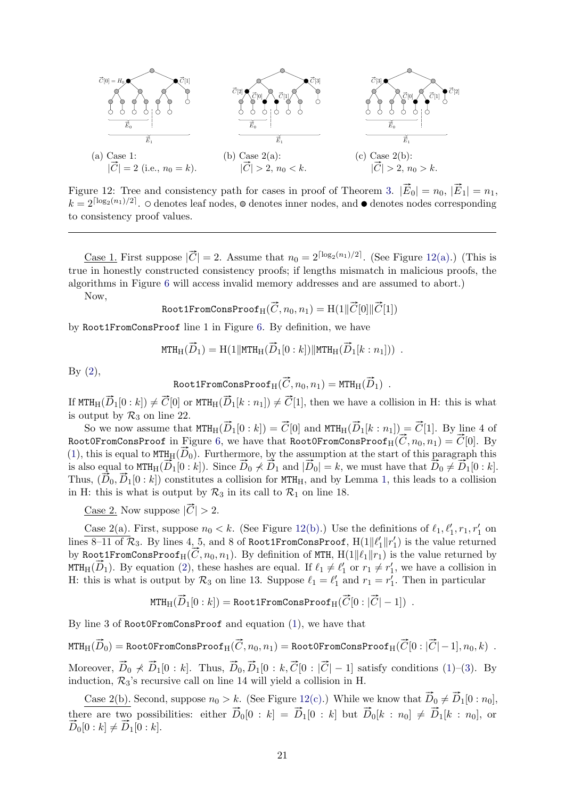<span id="page-20-0"></span>

Figure 12: Tree and consistency path for cases in proof of Theorem [3.](#page-19-0)  $|\vec{E}_0| = n_0$ ,  $|\vec{E}_1| = n_1$ ,  $k = 2^{\lceil \log_2(n_1)/2 \rceil}$ .  $\circ$  denotes leaf nodes,  $\circ$  denotes inner nodes, and  $\bullet$  denotes nodes corresponding to consistency proof values.

<u>Case 1.</u> First suppose  $|\vec{C}| = 2$ . Assume that  $n_0 = 2^{\lceil \log_2(n_1)/2 \rceil}$ . (See Figure [12\(a\).](#page-20-0)) (This is true in honestly constructed consistency proofs; if lengths mismatch in malicious proofs, the algorithms in Figure [6](#page-11-0) will access invalid memory addresses and are assumed to abort.)

Now,

$$
\texttt{Root1FromConsProof}_H(\overrightarrow{C},n_0,n_1)=H(1\|\overrightarrow{C}[0]\|\overrightarrow{C}[1])
$$

by Root1FromConsProof line 1 in Figure [6.](#page-11-0) By definition, we have

$$
\text{MTH}_\text{H}(\overrightarrow{D}_1)=\text{H}(1\|\text{MTH}_\text{H}(\overrightarrow{D}_1[0:k])\|\text{MTH}_\text{H}(\overrightarrow{D}_1[k:n_1]))\enspace.
$$

 $By (2),$  $By (2),$  $By (2),$ 

 $\texttt{Root1FromConsProof}_\text{H}(\vec{C},n_0,n_1) = \texttt{MTH}_\text{H}(\vec{D}_1)$  .

If  $MTH_H(\vec{D}_1[0:k]) \neq \vec{C}[0]$  or  $MTH_H(\vec{D}_1[k:n_1]) \neq \vec{C}[1]$ , then we have a collision in H: this is what is output by  $\mathcal{R}_3$  on line 22.

utput by  $\kappa_3$  on line 22.<br>So we now assume that  $MTH_H(\vec{D}_1[0:k]) = \vec{C}[0]$  and  $MTH_H(\vec{D}_1[k:n_1]) = \vec{C}[1]$ . By line 4 of So we now assume that  $\text{min}_{H}(D_1|0:k|) = C[0]$  and  $\text{min}_{H}(D_1|k:n_1|) = C[1]$ . By the 4 or<br>Root0FromConsProof in Figure [6,](#page-11-0) we have that Root0FromConsProof $_{H}(\overrightarrow{C}, n_0, n_1) = \overrightarrow{C}[0]$ . By ROOTUP TOM CONSPTOOT IN FIGURE 0, WE HAVE that ROOTUP TOM CONSPTOOT  $H(C, n_0, n_1) = C[0]$ . By [\(1\)](#page-19-2), this is equal to  $MTH_H(\overrightarrow{D}_0)$ . Furthermore, by the assumption at the start of this paragraph this (1), this is equal to MTH<sub>H</sub>( $\overline{D}_0$ ). Furthermore, by the assumption at the start of this paragraph this is also equal to MTH<sub>H</sub>( $\overline{D}_1[0:k]$ ). Since  $\overline{D}_0 \nless \overline{D}_1$  and  $|\overline{D}_0| = k$ , we must have that  $\overline{D}_0 \neq$ is also equal to  $\text{min}_{H} \left\{ D_1[v : k] \right\}$ . Since  $D_0 \nless D_1$  and  $|D_0| = k$ , we must have that  $D_0 \neq D_1[v : k]$ .<br>Thus,  $(\overrightarrow{D}_0, \overrightarrow{D}_1[0 : k])$  constitutes a collision for MTH<sub>H</sub>, and by Lemma [1,](#page-10-2) this leads to a collision in H: this is what is output by  $\mathcal{R}_3$  in its call to  $\mathcal{R}_1$  on line 18.

<u>Case 2.</u> Now suppose  $|\vec{C}| > 2$ .

Case 2(a). First, suppose  $n_0 < k$ . (See Figure [12\(b\).](#page-20-0)) Use the definitions of  $\ell_1, \ell'_1, r_1, r'_1$  on lines 8–11 of  $\mathcal{R}_3$ . By lines 4, 5, and 8 of Root1FromConsProof,  $H(1||\ell'_1||r'_1)$  is the value returned mes 8–11 or  $\kappa_3$ . By mes 4, 5, and 8 or koot if rom consproof,  $H(1||\ell_1||r_1)$  is the value returned by Root1FromConsProof<sub>H</sub>( $\vec{C}, n_0, n_1$ ). By definition of MTH,  $H(1||\ell_1||r_1)$  is the value returned by by Root IF rom Conservoot  $H(C, n_0, n_1)$ . By definition of MIH,  $H(1||l_1||r_1)$  is the value returned by  $MTH_H(\vec{D}_1)$ . By equation [\(2\)](#page-19-4), these hashes are equal. If  $\ell_1 \neq \ell'_1$  or  $r_1 \neq r'_1$ , we have a collision in H: this is what is output by  $\mathcal{R}_3$  on line 13. Suppose  $\ell_1 = \ell'_1$  and  $r_1 = r'_1$ . Then in particular

$$
\texttt{MTH}_H(\overrightarrow{D}_1[0:k]) = \texttt{Root1FromConsProof}_H(\overrightarrow{C}[0:|\overrightarrow{C}|-1])\enspace.
$$

By line 3 of Root0FromConsProof and equation [\(1\)](#page-19-2), we have that

 $\texttt{MTH}_\text{H}(\vec D_0) = \texttt{RootOFromConsProof}_\text{H}(\vec C,n_0,n_1) = \texttt{RootOFromConsProof}_\text{H}(\vec C[0:|\vec C|-1],n_0,k)$  . Moreover,  $\vec{D}_0 \not\prec \vec{D}_1[0:k]$ . Thus,  $\vec{D}_0, \vec{D}_1[0:k, \vec{C}[0:|\vec{C}|-1]$  satisfy conditions [\(1\)](#page-19-2)–[\(3\)](#page-19-3). By induction,  $\mathcal{R}_3$ 's recursive call on line 14 will yield a collision in H.

Case 2(b). Second, suppose  $n_0 > k$ . (See Figure [12\(c\).](#page-20-0)) While we know that  $\vec{D}_0 \neq \vec{D}_1[0:n_0]$ , there are two possibilities: either  $\vec{D}_0[0 : k] = \vec{D}_1[0 : k]$  but  $\vec{D}_0[k : n_0] \neq \vec{D}_1[k : n_0]$ , or there are two possite<br> $\overrightarrow{D}_0[0:k] \neq \overrightarrow{D}_1[0:k].$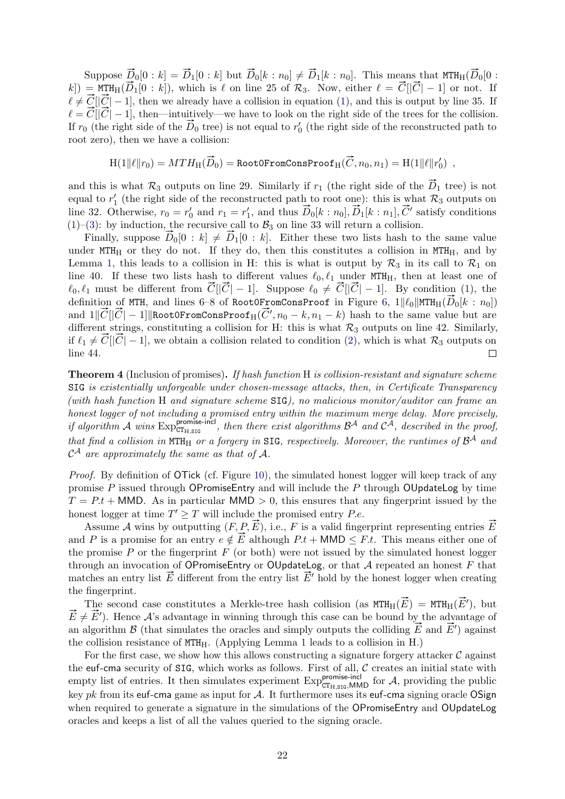Suppose  $\vec{D}_0[0:k] = \vec{D}_1[0:k]$  but  $\vec{D}_0[k:n_0] \neq \vec{D}_1[k:n_0]$ . This means that  $MTH_H(\vec{D}_0[0:k])$ suppose  $D_0[0: \kappa] = D_1[0: \kappa]$  but  $D_0[\kappa: n_0] \neq D_1[\kappa: n_0]$ . This means that  $\text{min}_{H_1}(D_0[0:\kappa]) = \text{MTH}_H(\overline{D}_1[0: \kappa])$ , which is  $\ell$  on line 25 of  $\mathcal{R}_3$ . Now, either  $\ell = \overline{C}[|\overline{C}|-1]$  or not. If  $\ell \neq \overline{C}$ [ $\overline{C}$ ] - 1], then we already have a collision in equation [\(1\)](#page-19-2), and this is output by line 35. If  $\ell \neq \overline{C}$ [ $\overline{C}$ ] - 1], then we already have a collision in equation (1), and this is output by line  $\ell \neq C$ [ $|C_$  – 1], then we arready have a comsion in equation (1), and this is output by line 35. If  $\ell = \overline{C}$ [ $|\overline{C}|$  – 1], then—intuitively—we have to look on the right side of the trees for the collision.  $\ell = C||C| - 1$ , then—intuitively—we have to look on the right side of the trees for the collision<br>If  $r_0$  (the right side of the  $\vec{D}_0$  tree) is not equal to  $r'_0$  (the right side of the reconstructed path to root zero), then we have a collision:

$$
\text{H}(1\|\ell\|r_0) = MTH_\text{H}(\overrightarrow{D}_0) = \text{RootOFromConsProof}_\text{H}(\overrightarrow{C}, n_0, n_1) = \text{H}(1\|\ell\|r_0')\enspace,
$$

and this is what  $\mathcal{R}_3$  outputs on line 29. Similarly if  $r_1$  (the right side of the  $\vec{D}_1$  tree) is not equal to  $r'_1$  (the right side of the reconstructed path to root one): this is what  $\mathcal{R}_3$  outputs on equal to  $r_1$  (the right side of the reconstructed path to root one): this is what  $\mathcal{R}_3$  outputs on<br>line 32. Otherwise,  $r_0 = r'_0$  and  $r_1 = r'_1$ , and thus  $\overrightarrow{D}_0[k:n_0], \overrightarrow{D}_1[k:n_1], \overrightarrow{C}'$  satisfy conditions [\(1\)](#page-19-2)–[\(3\)](#page-19-3): by induction, the recursive call to  $\mathcal{B}_3$  on line 33 will return a collision.

 $F$ is by monderton, the recursive can to  $B_3$  on line 33 will return a collision.<br>Finally, suppose  $\overrightarrow{D}_0[0 : k] \neq \overrightarrow{D}_1[0 : k]$ . Either these two lists hash to the same value under MTH<sub>H</sub> or they do not. If they do, then this constitutes a collision in MTH<sub>H</sub>, and by Lemma [1,](#page-10-2) this leads to a collision in H: this is what is output by  $\mathcal{R}_3$  in its call to  $\mathcal{R}_1$  on line 40. If these two lists hash to different values  $\ell_0, \ell_1$  under MTH<sub>H</sub>, then at least one of ine 40. If these two lists hash to different values  $\ell_0, \ell_1$  under MIH<sub>H</sub>, then at least one of  $\ell_0, \ell_1$  must be different from  $\vec{C}[\vec{C}] - 1]$ . Suppose  $\ell_0 \neq \vec{C}[\vec{C}] - 1]$ . By condition [\(1\)](#page-19-2), the  $\ell_0, \ell_1$  must be different from  $C[|C| - 1]$ . Suppose  $\ell_0 \neq C[|C| - 1]$ . By condition (1), the definition of MTH, and lines 6–8 of Root0FromConsProof in Figure [6,](#page-11-0)  $1||\ell_0|\text{MTH}_H(\overrightarrow{D}_0[k:n_0])$ definition of MIH, and lines 0-8 of ROOTUP followsProof in Figure 0,  $1||\ell_0||$ MIH<sub>H</sub>( $D_0[k:n_0]$ )<br>and  $1||\vec{C}||\vec{C}|-1||$ RootOFromConsProof<sub>H</sub>( $\vec{C}', n_0 - k, n_1 - k$ ) hash to the same value but are different strings, constituting a collision for H: this is what  $\mathcal{R}_3$  outputs on line 42. Similarly, different strings, constituting a collision for  $\mathbf{r}$ : this is what  $\mathcal{R}_3$  outputs on line 42. Similarly if  $\ell_1 \neq \overline{C}[[\overline{C}]-1]$ , we obtain a collision related to condition [\(2\)](#page-19-4), which is what  $\mathcal{R}_3$  outputs line 44.  $\Box$ 

Theorem 4 (Inclusion of promises). If hash function H is collision-resistant and signature scheme SIG is existentially unforgeable under chosen-message attacks, then, in Certificate Transparency (with hash function H and signature scheme SIG), no malicious monitor/auditor can frame an honest logger of not including a promised entry within the maximum merge delay. More precisely, if algorithm A wins  $\text{Exp}_{\text{CTH},\text{str}}^{\text{promise-ind}}$ , then there exist algorithms  $\mathcal{B}^{\mathcal{A}}$  and  $\mathcal{C}^{\mathcal{A}}$ , described in the proof, that find a collision in MTH<sub>H</sub> or a forgery in SIG, respectively. Moreover, the runtimes of  $\mathcal{B}^{\mathcal{A}}$  and  $\mathcal{C}^{\mathcal{A}}$  are approximately the same as that of  $\mathcal{A}.$ 

Proof. By definition of OTick (cf. Figure [10\)](#page-18-0), the simulated honest logger will keep track of any promise  $P$  issued through OPromiseEntry and will include the  $P$  through OUpdateLog by time  $T = P_t + MMD$ . As in particular  $MMD > 0$ , this ensures that any fingerprint issued by the honest logger at time  $T' \geq T$  will include the promised entry P.e.

Assume A wins by outputting  $(F, P, \vec{E})$ , i.e., F is a valid fingerprint representing entries  $\vec{E}$ Assume A wins by outputting  $(F, P, E)$ , i.e., F is a valid ingerprint representing entries E and P is a promise for an entry  $e \notin \overrightarrow{E}$  although  $P \cdot t + \text{MMD} \leq F \cdot t$ . This means either one of the promise  $P$  or the fingerprint  $F$  (or both) were not issued by the simulated honest logger through an invocation of OPromiseEntry or OUpdateLog, or that  $A$  repeated an honest  $F$  that matches an entry list  $\vec{E}$  different from the entry list  $\vec{E}'$  hold by the honest logger when creating the fingerprint.

migerprint.<br>The second case constitutes a Merkle-tree hash collision (as  $MTH_H(\vec{E}) = MTH_H(\vec{E}')$ , but The second case constitutes a Merkie-tree hash collision (as  $\text{min}_{H}(E) = \text{min}_{H}(E)$ ), but  $\vec{E} \neq \vec{E}'$ ). Hence  $\vec{A}$ 's advantage in winning through this case can be bound by the advantage of  $E \neq E$ ). Hence A s advantage in winning through this case can be bound by the advantage of an algorithm  $\mathcal{B}$  (that simulates the oracles and simply outputs the colliding  $\vec{E}$  and  $\vec{E'}$ ) against the collision resistance of  $MTH<sub>H</sub>$ . (Applying Lemma [1](#page-10-2) leads to a collision in H.)

For the first case, we show how this allows constructing a signature forgery attacker  $\mathcal C$  against the euf-cma security of  $STG$ , which works as follows. First of all,  $C$  creates an initial state with empty list of entries. It then simulates experiment  $Exp_{CT_{H, SIG}}^{promise-ind}$  for A, providing the public key pk from its euf-cma game as input for  $\mathcal{A}$ . It furthermore uses its euf-cma signing oracle OSign when required to generate a signature in the simulations of the OPromiseEntry and OUpdateLog oracles and keeps a list of all the values queried to the signing oracle.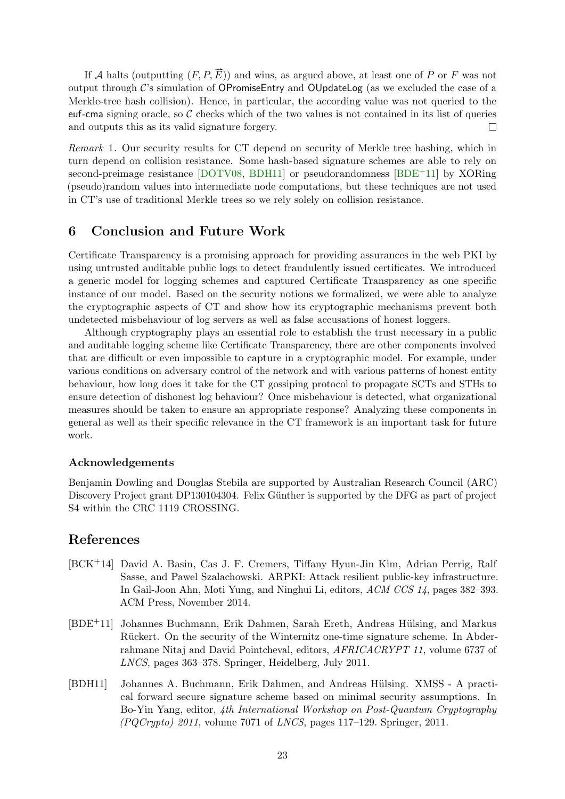If A halts (outputting  $(F, P, \overline{E})$ ) and wins, as argued above, at least one of P or F was not output through C's simulation of OPromiseEntry and OUpdateLog (as we excluded the case of a Merkle-tree hash collision). Hence, in particular, the according value was not queried to the euf-cma signing oracle, so  $\mathcal C$  checks which of the two values is not contained in its list of queries and outputs this as its valid signature forgery.  $\Box$ 

Remark 1. Our security results for CT depend on security of Merkle tree hashing, which in turn depend on collision resistance. Some hash-based signature schemes are able to rely on second-preimage resistance [\[DOTV08,](#page-23-14) [BDH11\]](#page-22-2) or pseudorandomness [\[BDE](#page-22-3)+11] by XORing (pseudo)random values into intermediate node computations, but these techniques are not used in CT's use of traditional Merkle trees so we rely solely on collision resistance.

# <span id="page-22-0"></span>6 Conclusion and Future Work

Certificate Transparency is a promising approach for providing assurances in the web PKI by using untrusted auditable public logs to detect fraudulently issued certificates. We introduced a generic model for logging schemes and captured Certificate Transparency as one specific instance of our model. Based on the security notions we formalized, we were able to analyze the cryptographic aspects of CT and show how its cryptographic mechanisms prevent both undetected misbehaviour of log servers as well as false accusations of honest loggers.

Although cryptography plays an essential role to establish the trust necessary in a public and auditable logging scheme like Certificate Transparency, there are other components involved that are difficult or even impossible to capture in a cryptographic model. For example, under various conditions on adversary control of the network and with various patterns of honest entity behaviour, how long does it take for the CT gossiping protocol to propagate SCTs and STHs to ensure detection of dishonest log behaviour? Once misbehaviour is detected, what organizational measures should be taken to ensure an appropriate response? Analyzing these components in general as well as their specific relevance in the CT framework is an important task for future work.

#### Acknowledgements

Benjamin Dowling and Douglas Stebila are supported by Australian Research Council (ARC) Discovery Project grant DP130104304. Felix Günther is supported by the DFG as part of project S4 within the CRC 1119 CROSSING.

### References

- <span id="page-22-1"></span>[BCK+14] David A. Basin, Cas J. F. Cremers, Tiffany Hyun-Jin Kim, Adrian Perrig, Ralf Sasse, and Pawel Szalachowski. ARPKI: Attack resilient public-key infrastructure. In Gail-Joon Ahn, Moti Yung, and Ninghui Li, editors, ACM CCS 14, pages 382–393. ACM Press, November 2014.
- <span id="page-22-3"></span>[BDE<sup>+</sup>11] Johannes Buchmann, Erik Dahmen, Sarah Ereth, Andreas Hülsing, and Markus Rückert. On the security of the Winternitz one-time signature scheme. In Abderrahmane Nitaj and David Pointcheval, editors, AFRICACRYPT 11, volume 6737 of LNCS, pages 363–378. Springer, Heidelberg, July 2011.
- <span id="page-22-2"></span>[BDH11] Johannes A. Buchmann, Erik Dahmen, and Andreas Hülsing. XMSS - A practical forward secure signature scheme based on minimal security assumptions. In Bo-Yin Yang, editor, 4th International Workshop on Post-Quantum Cryptography  $(PQCrypto)$  2011, volume 7071 of LNCS, pages 117–129. Springer, 2011.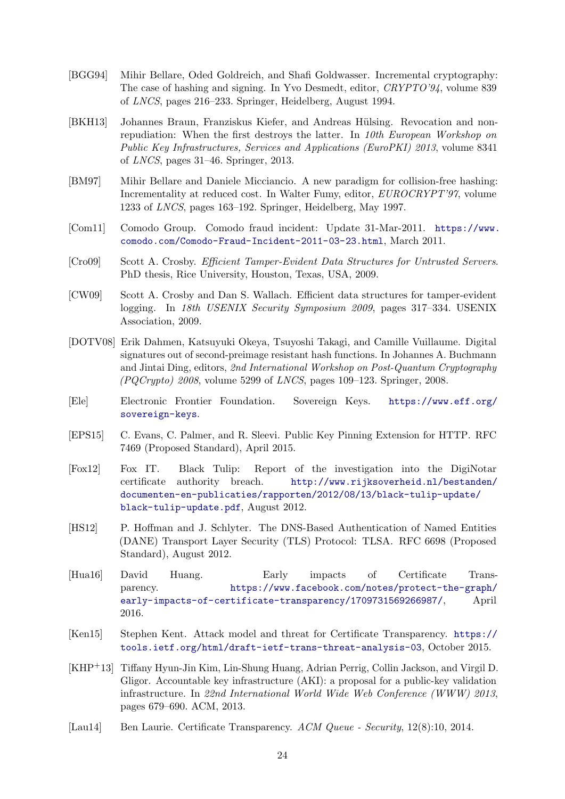- <span id="page-23-11"></span>[BGG94] Mihir Bellare, Oded Goldreich, and Shafi Goldwasser. Incremental cryptography: The case of hashing and signing. In Yvo Desmedt, editor, CRYPTO'94, volume 839 of LNCS, pages 216–233. Springer, Heidelberg, August 1994.
- <span id="page-23-13"></span>[BKH13] Johannes Braun, Franziskus Kiefer, and Andreas Hülsing. Revocation and nonrepudiation: When the first destroys the latter. In 10th European Workshop on Public Key Infrastructures, Services and Applications (EuroPKI) 2013, volume 8341 of LNCS, pages 31–46. Springer, 2013.
- <span id="page-23-12"></span>[BM97] Mihir Bellare and Daniele Micciancio. A new paradigm for collision-free hashing: Incrementality at reduced cost. In Walter Fumy, editor, EUROCRYPT'97, volume 1233 of LNCS, pages 163–192. Springer, Heidelberg, May 1997.
- <span id="page-23-1"></span>[Com11] Comodo Group. Comodo fraud incident: Update 31-Mar-2011. [https://www.](https://www.comodo.com/Comodo-Fraud-Incident-2011-03-23.html) [comodo.com/Comodo-Fraud-Incident-2011-03-23.html](https://www.comodo.com/Comodo-Fraud-Incident-2011-03-23.html), March 2011.
- <span id="page-23-5"></span>[Cro09] Scott A. Crosby. Efficient Tamper-Evident Data Structures for Untrusted Servers. PhD thesis, Rice University, Houston, Texas, USA, 2009.
- <span id="page-23-4"></span>[CW09] Scott A. Crosby and Dan S. Wallach. Efficient data structures for tamper-evident logging. In 18th USENIX Security Symposium 2009, pages 317–334. USENIX Association, 2009.
- <span id="page-23-14"></span>[DOTV08] Erik Dahmen, Katsuyuki Okeya, Tsuyoshi Takagi, and Camille Vuillaume. Digital signatures out of second-preimage resistant hash functions. In Johannes A. Buchmann and Jintai Ding, editors, 2nd International Workshop on Post-Quantum Cryptography  $(PQCrypto)$  2008, volume 5299 of LNCS, pages 109–123. Springer, 2008.
- <span id="page-23-10"></span>[Ele] Electronic Frontier Foundation. Sovereign Keys. [https://www.eff.org/](https://www.eff.org/sovereign-keys) [sovereign-keys](https://www.eff.org/sovereign-keys).
- <span id="page-23-7"></span>[EPS15] C. Evans, C. Palmer, and R. Sleevi. Public Key Pinning Extension for HTTP. RFC 7469 (Proposed Standard), April 2015.
- <span id="page-23-0"></span>[Fox12] Fox IT. Black Tulip: Report of the investigation into the DigiNotar certificate authority breach. [http://www.rijksoverheid.nl/bestanden/](http://www.rijksoverheid.nl/bestanden/documenten-en-publicaties/rapporten/2012/08/13/black-tulip-update/black-tulip-update.pdf) [documenten-en-publicaties/rapporten/2012/08/13/black-tulip-update/](http://www.rijksoverheid.nl/bestanden/documenten-en-publicaties/rapporten/2012/08/13/black-tulip-update/black-tulip-update.pdf) [black-tulip-update.pdf](http://www.rijksoverheid.nl/bestanden/documenten-en-publicaties/rapporten/2012/08/13/black-tulip-update/black-tulip-update.pdf), August 2012.
- <span id="page-23-8"></span>[HS12] P. Hoffman and J. Schlyter. The DNS-Based Authentication of Named Entities (DANE) Transport Layer Security (TLS) Protocol: TLSA. RFC 6698 (Proposed Standard), August 2012.
- <span id="page-23-3"></span>[Hua16] David Huang. Early impacts of Certificate Transparency. [https://www.facebook.com/notes/protect-the-graph/](https://www.facebook.com/notes/protect-the-graph/early-impacts-of-certificate-transparency/1709731569266987/) [early-impacts-of-certificate-transparency/1709731569266987/](https://www.facebook.com/notes/protect-the-graph/early-impacts-of-certificate-transparency/1709731569266987/), April 2016.
- <span id="page-23-6"></span>[Ken15] Stephen Kent. Attack model and threat for Certificate Transparency. [https://](https://tools.ietf.org/html/draft-ietf-trans-threat-analysis-03) [tools.ietf.org/html/draft-ietf-trans-threat-analysis-03](https://tools.ietf.org/html/draft-ietf-trans-threat-analysis-03), October 2015.
- <span id="page-23-9"></span>[KHP+13] Tiffany Hyun-Jin Kim, Lin-Shung Huang, Adrian Perrig, Collin Jackson, and Virgil D. Gligor. Accountable key infrastructure (AKI): a proposal for a public-key validation infrastructure. In 22nd International World Wide Web Conference (WWW) 2013, pages 679–690. ACM, 2013.
- <span id="page-23-2"></span>[Lau14] Ben Laurie. Certificate Transparency. ACM Queue - Security, 12(8):10, 2014.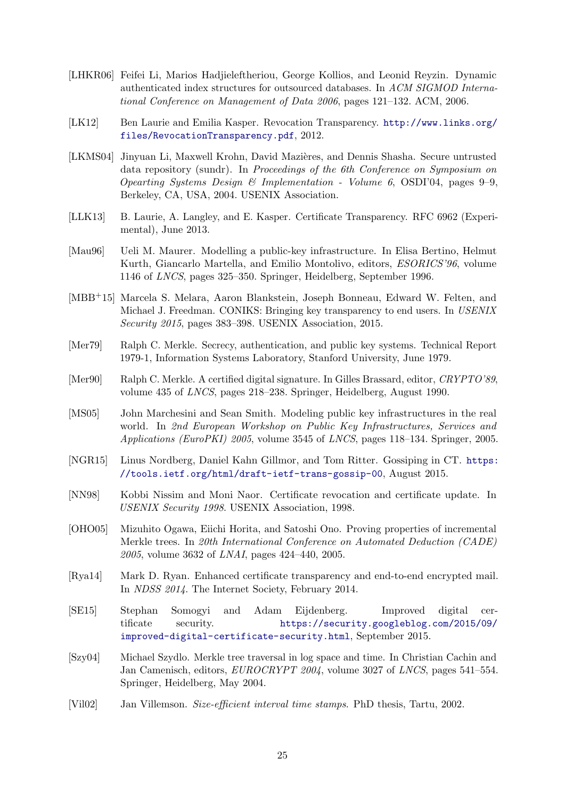- <span id="page-24-11"></span>[LHKR06] Feifei Li, Marios Hadjieleftheriou, George Kollios, and Leonid Reyzin. Dynamic authenticated index structures for outsourced databases. In ACM SIGMOD International Conference on Management of Data 2006, pages 121–132. ACM, 2006.
- <span id="page-24-6"></span>[LK12] Ben Laurie and Emilia Kasper. Revocation Transparency. [http://www.links.org/](http://www.links.org/files/RevocationTransparency.pdf) [files/RevocationTransparency.pdf](http://www.links.org/files/RevocationTransparency.pdf), 2012.
- <span id="page-24-8"></span>[LKMS04] Jinyuan Li, Maxwell Krohn, David Mazières, and Dennis Shasha. Secure untrusted data repository (sundr). In Proceedings of the 6th Conference on Symposium on Opearting Systems Design & Implementation - Volume 6, OSDI'04, pages 9–9, Berkeley, CA, USA, 2004. USENIX Association.
- <span id="page-24-0"></span>[LLK13] B. Laurie, A. Langley, and E. Kasper. Certificate Transparency. RFC 6962 (Experimental), June 2013.
- <span id="page-24-14"></span>[Mau96] Ueli M. Maurer. Modelling a public-key infrastructure. In Elisa Bertino, Helmut Kurth, Giancarlo Martella, and Emilio Montolivo, editors, ESORICS'96, volume 1146 of LNCS, pages 325–350. Springer, Heidelberg, September 1996.
- <span id="page-24-5"></span>[MBB+15] Marcela S. Melara, Aaron Blankstein, Joseph Bonneau, Edward W. Felten, and Michael J. Freedman. CONIKS: Bringing key transparency to end users. In USENIX Security 2015, pages 383–398. USENIX Association, 2015.
- <span id="page-24-2"></span>[Mer79] Ralph C. Merkle. Secrecy, authentication, and public key systems. Technical Report 1979-1, Information Systems Laboratory, Stanford University, June 1979.
- <span id="page-24-3"></span>[Mer90] Ralph C. Merkle. A certified digital signature. In Gilles Brassard, editor, *CRYPTO'89*, volume 435 of LNCS, pages 218–238. Springer, Heidelberg, August 1990.
- <span id="page-24-15"></span>[MS05] John Marchesini and Sean Smith. Modeling public key infrastructures in the real world. In 2nd European Workshop on Public Key Infrastructures, Services and Applications (EuroPKI) 2005, volume 3545 of LNCS, pages 118–134. Springer, 2005.
- <span id="page-24-4"></span>[NGR15] Linus Nordberg, Daniel Kahn Gillmor, and Tom Ritter. Gossiping in CT. [https:](https://tools.ietf.org/html/draft-ietf-trans-gossip-00) [//tools.ietf.org/html/draft-ietf-trans-gossip-00](https://tools.ietf.org/html/draft-ietf-trans-gossip-00), August 2015.
- <span id="page-24-10"></span>[NN98] Kobbi Nissim and Moni Naor. Certificate revocation and certificate update. In USENIX Security 1998. USENIX Association, 1998.
- <span id="page-24-13"></span>[OHO05] Mizuhito Ogawa, Eiichi Horita, and Satoshi Ono. Proving properties of incremental Merkle trees. In 20th International Conference on Automated Deduction (CADE) 2005, volume 3632 of LNAI, pages 424–440, 2005.
- <span id="page-24-7"></span>[Rya14] Mark D. Ryan. Enhanced certificate transparency and end-to-end encrypted mail. In NDSS 2014. The Internet Society, February 2014.
- <span id="page-24-1"></span>[SE15] Stephan Somogyi and Adam Eijdenberg. Improved digital certificate security. [https://security.googleblog.com/2015/09/](https://security.googleblog.com/2015/09/improved-digital-certificate-security.html) [improved-digital-certificate-security.html](https://security.googleblog.com/2015/09/improved-digital-certificate-security.html), September 2015.
- <span id="page-24-9"></span>[Szy04] Michael Szydlo. Merkle tree traversal in log space and time. In Christian Cachin and Jan Camenisch, editors, EUROCRYPT 2004, volume 3027 of LNCS, pages 541–554. Springer, Heidelberg, May 2004.
- <span id="page-24-12"></span>[Vil02] Jan Villemson. Size-efficient interval time stamps. PhD thesis, Tartu, 2002.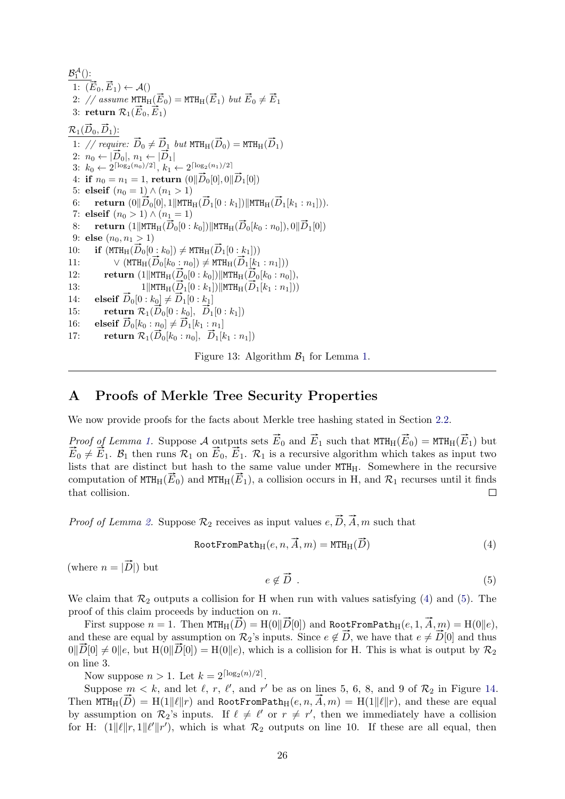<span id="page-25-1"></span> $\mathcal{B}_1^{\mathcal{A}}()$ :  $\frac{1}{1:}$   $(\overrightarrow{E}_0, \overrightarrow{E}_1) \leftarrow \mathcal{A}()$ 2: // assume  $MTH_H(\vec{E}_0) = MTH_H(\vec{E}_1)$  but  $\vec{E}_0 \neq \vec{E}_1$ 2: // assume  $\min_{\Pi}$  ( $E_0$ )<br>3: **return**  $\mathcal{R}_1(\vec{E}_0, \vec{E}_1)$  $\mathcal{R}_1(\vec{D}_0, \vec{D}_1)$ : 1: // require:  $\vec{D}_0 \neq \vec{D}_1$  but  $MTH_H(\vec{D}_0) = MTH_H(\vec{D}_1)$ 1: // require:  $D_0 \neq D_1$ <br>2:  $n_0 \leftarrow |\vec{D}_0|, n_1 \leftarrow |\vec{D}_1|$ 3:  $k_0 \leftarrow 2^{\lceil \log_2(n_0)/2 \rceil}, k_1 \leftarrow 2^{\lceil \log_2(n_1)/2 \rceil}$ 3:  $k_0 \leftarrow 2^{\lfloor \log_2(\log_2(\pi))/2 \rfloor}$ ,  $k_1 \leftarrow 2^{\lfloor \log_2(\pi)/2 \rfloor}$ <br>4: if  $n_0 = n_1 = 1$ , return  $(0||\vec{D}_0[0], 0||\vec{D}_1[0])$ 5: elseif  $(n_0 = 1) \wedge (n_1 > 1)$ 6: eisen  $(n_0 = 1) \wedge (n_1 > 1)$ <br>6: return  $(0||\overrightarrow{D}_0[0], 1||\text{MTH}_H(\overrightarrow{D}_1[0:k_1])||\text{MTH}_H(\overrightarrow{D}_1[k_1:n_1])).$ 7: elseif  $(n_0 > 1) \wedge (n_1 = 1)$ 8: **return**  $(1||MTH_H(\overline{D}_0[0:k_0])||MTH_H(\overline{D}_0[k_0:n_0]),0||\overline{D}_1[0])$ 9: else  $(n_0, n_1 > 1)$ 9: eise  $(n_0, n_1 > 1)$ <br>10: if  $(MTH_H(\overrightarrow{D}_0[0: k_0]) \neq MTH_H(\overrightarrow{D}_1[0: k_1]))$ 10:  $\mathbf{I} \in \mathbb{M}$  (MTH<sub>H</sub>( $D_0[0: \kappa_0]$ )  $\neq$  MTH<sub>H</sub>( $D_1[0: \kappa_1]$ ))<br>11:  $\forall$  (MTH<sub>H</sub>( $\overline{D}_0[k_0: n_0]$ )  $\neq$  MTH<sub>H</sub>( $\overline{D}_1[k_1: n_1]$ )) 11:  $V(\text{min}_{H}(D_0[k_0 : n_0]) \neq \text{min}_{H}(D_1[k_1 : n_1]))$ <br>
12: **return**  $(1||\text{MTH}_{H}(\overrightarrow{D}_0[0 : k_0])||\text{MTH}_{H}(\overrightarrow{D}_0[k_0 : n_0]),$ 12: **FEUTH**  $(H \| H_H(D_0 | 0 : k_0) \| H H_H(D_0 | k_0 : n_0]),$ <br>
13:  $1 \| H_H(\overline{D}_1 [0 : k_1]) \| H H_H(\overline{D}_1 [k_1 : n_1]))$ 14: elseif  $\vec{D}_0[0:k_0] \neq \vec{D}_1[0:k_1]$ 14: **eisen**  $D_0[0: \kappa_0] \neq D_1[0: \kappa_1]$ <br>
15: **return**  $\mathcal{R}_1(\overline{D}_0[0: k_0], \overrightarrow{D}_1[0: k_1])$ 16: **elseif**  $\vec{D}_0[k_0:n_0] \neq \vec{D}_1[k_1:n_1]$ <br>
16: **elseif**  $\vec{D}_0[k_0:n_0] \neq \vec{D}_1[k_1:n_1]$ 10: **eisen**  $D_0[k_0:n_0] \neq D_1[k_1:n_1]$ <br>
17: **return**  $\mathcal{R}_1(\overline{D}_0[k_0:n_0], \overline{D}_1[k_1:n_1])$ 

Figure 13: Algorithm  $\mathcal{B}_1$  for Lemma [1.](#page-10-2)

# <span id="page-25-0"></span>A Proofs of Merkle Tree Security Properties

We now provide proofs for the facts about Merkle tree hashing stated in Section [2.2.](#page-10-0)

*Proof of Lemma [1.](#page-10-2)* Suppose A outputs sets  $\vec{E}_0$  and  $\vec{E}_1$  such that  $MTH_H(\vec{E}_0) = MTH_H(\vec{E}_1)$  but *Froof of Lemma 1.* Suppose A outputs sets  $E_0$  and  $E_1$  such that  $\min_{H} (E_0) = \min_{H} (E_1)$  but  $\vec{E}_0 \neq \vec{E}_1$ .  $\vec{B}_1$  then runs  $\mathcal{R}_1$  on  $\vec{E}_0$ ,  $\vec{E}_1$ .  $\mathcal{R}_1$  is a recursive algorithm which takes as inp lists that are distinct but hash to the same value under  $MTH_H$ . Somewhere in the recursive ists that are distinct but hash to the same value under  $\text{m1}_{\text{H}}$ . Somewhere in the recursive computation of  $\text{MTH}_{\text{H}}(\vec{E}_0)$  and  $\text{MTH}_{\text{H}}(\vec{E}_1)$ , a collision occurs in H, and  $\mathcal{R}_1$  recurses until it find that collision.  $\Box$ 

*Proof of Lemma [2.](#page-11-1)* Suppose  $\mathcal{R}_2$  receives as input values  $e, \vec{D}, \vec{A}, m$  such that

<span id="page-25-2"></span>
$$
\mathtt{RootFromPath}_{H}(e, n, \vec{A}, m) = \mathtt{MTH}_{H}(\vec{D}) \tag{4}
$$

(where  $n = |\vec{D}|$ ) but

<span id="page-25-3"></span>
$$
e \notin \vec{D} \tag{5}
$$

We claim that  $\mathcal{R}_2$  outputs a collision for H when run with values satisfying [\(4\)](#page-25-2) and [\(5\)](#page-25-3). The proof of this claim proceeds by induction on n.

First suppose  $n = 1$ . Then  $\texttt{MTH}_H(\vec{D}) = \texttt{H}(0 \| \vec{D}[0])$  and  $\texttt{RootFromPath}_H(e, 1, \vec{A}, m) = \texttt{H}(0 \| e),$ First suppose  $n = 1$ . Then  $\text{min}_{H}(D) = \text{min}(0|D|0)$  and  $\text{kootFromPath}_{H}(e, 1, A, m) = \text{min}(0|e)$ <br>and these are equal by assumption on  $\mathcal{R}_2$ 's inputs. Since  $e \notin \overrightarrow{D}$ , we have that  $e \neq \overrightarrow{D}[0]$  and thus and these are equal by assumption on  $\kappa_2$  s inputs. Since  $e \notin D$ , we have that  $e \neq D[\upsilon]$  and thus  $0\|\vec{D}[0] \neq 0\|e$ , but  $H(0\|\vec{D}[0]) = H(0\|e)$ , which is a collision for H. This is what is output by  $\mathcal{R}_2$ on line 3.

Now suppose  $n > 1$ . Let  $k = 2^{\lceil \log_2(n)/2 \rceil}$ .

Suppose  $m < k$ , and let  $\ell$ ,  $r$ ,  $\ell'$ , and  $r'$  be as on lines 5, 6, 8, and 9 of  $\mathcal{R}_2$  in Figure [14.](#page-26-0) Suppose  $m < \kappa$ , and let  $\ell$ ,  $r$ ,  $\ell$ , and  $r$  be as on lines 5, 0, 8, and 9 or  $\kappa_2$  in Figure 14.<br>Then MTH<sub>H</sub>( $\overline{D}$ ) = H(1|| $\ell$ || $r$ ) and RootFromPath<sub>H</sub>( $e$ ,  $n$ ,  $\overline{A}$ ,  $m$ ) = H(1|| $\ell$ || $r$ ), and these ar by assumption on  $\mathcal{R}_2$ 's inputs. If  $\ell \neq \ell'$  or  $r \neq r'$ , then we immediately have a collision for H:  $(1||\ell||r, 1||\ell'||r')$ , which is what  $\mathcal{R}_2$  outputs on line 10. If these are all equal, then